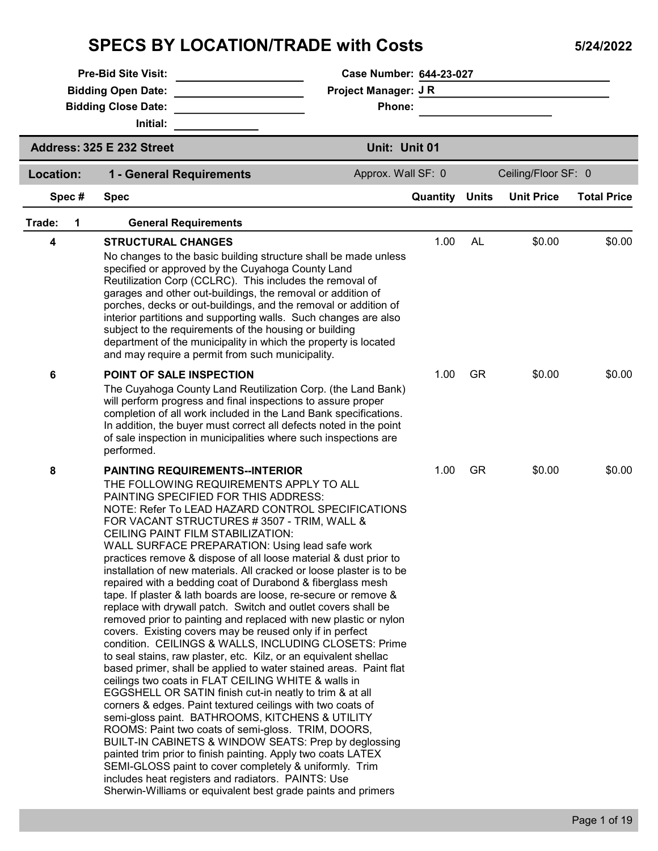## SPECS BY LOCATION/TRADE with Costs 5/24/2022

| <b>Pre-Bid Site Visit:</b> |                                                                                                                                                                                                                                                                             | Case Number: 644-23-027                                                                                                                                                                                                                                                                                                                                                                                                                                                                                                                                                                                                                                                                                                                                                                                                                                                                                                                                                                                                                                                                                                                                                                                                                                                                                               |          |              |                     |                    |  |
|----------------------------|-----------------------------------------------------------------------------------------------------------------------------------------------------------------------------------------------------------------------------------------------------------------------------|-----------------------------------------------------------------------------------------------------------------------------------------------------------------------------------------------------------------------------------------------------------------------------------------------------------------------------------------------------------------------------------------------------------------------------------------------------------------------------------------------------------------------------------------------------------------------------------------------------------------------------------------------------------------------------------------------------------------------------------------------------------------------------------------------------------------------------------------------------------------------------------------------------------------------------------------------------------------------------------------------------------------------------------------------------------------------------------------------------------------------------------------------------------------------------------------------------------------------------------------------------------------------------------------------------------------------|----------|--------------|---------------------|--------------------|--|
|                            | <b>Bidding Open Date:</b>                                                                                                                                                                                                                                                   | <b>Project Manager: JR</b>                                                                                                                                                                                                                                                                                                                                                                                                                                                                                                                                                                                                                                                                                                                                                                                                                                                                                                                                                                                                                                                                                                                                                                                                                                                                                            |          |              |                     |                    |  |
|                            | <b>Bidding Close Date:</b><br>Initial:                                                                                                                                                                                                                                      | Phone:                                                                                                                                                                                                                                                                                                                                                                                                                                                                                                                                                                                                                                                                                                                                                                                                                                                                                                                                                                                                                                                                                                                                                                                                                                                                                                                |          |              |                     |                    |  |
|                            | Address: 325 E 232 Street                                                                                                                                                                                                                                                   | Unit: Unit 01                                                                                                                                                                                                                                                                                                                                                                                                                                                                                                                                                                                                                                                                                                                                                                                                                                                                                                                                                                                                                                                                                                                                                                                                                                                                                                         |          |              |                     |                    |  |
| Location:                  | 1 - General Requirements                                                                                                                                                                                                                                                    | Approx. Wall SF: 0                                                                                                                                                                                                                                                                                                                                                                                                                                                                                                                                                                                                                                                                                                                                                                                                                                                                                                                                                                                                                                                                                                                                                                                                                                                                                                    |          |              | Ceiling/Floor SF: 0 |                    |  |
| Spec#                      | <b>Spec</b>                                                                                                                                                                                                                                                                 |                                                                                                                                                                                                                                                                                                                                                                                                                                                                                                                                                                                                                                                                                                                                                                                                                                                                                                                                                                                                                                                                                                                                                                                                                                                                                                                       | Quantity | <b>Units</b> | <b>Unit Price</b>   | <b>Total Price</b> |  |
| Trade:                     |                                                                                                                                                                                                                                                                             |                                                                                                                                                                                                                                                                                                                                                                                                                                                                                                                                                                                                                                                                                                                                                                                                                                                                                                                                                                                                                                                                                                                                                                                                                                                                                                                       |          |              |                     |                    |  |
| 1                          | <b>General Requirements</b>                                                                                                                                                                                                                                                 |                                                                                                                                                                                                                                                                                                                                                                                                                                                                                                                                                                                                                                                                                                                                                                                                                                                                                                                                                                                                                                                                                                                                                                                                                                                                                                                       |          |              |                     |                    |  |
| 4                          | <b>STRUCTURAL CHANGES</b><br>specified or approved by the Cuyahoga County Land<br>subject to the requirements of the housing or building<br>and may require a permit from such municipality.                                                                                | No changes to the basic building structure shall be made unless<br>Reutilization Corp (CCLRC). This includes the removal of<br>garages and other out-buildings, the removal or addition of<br>porches, decks or out-buildings, and the removal or addition of<br>interior partitions and supporting walls. Such changes are also<br>department of the municipality in which the property is located                                                                                                                                                                                                                                                                                                                                                                                                                                                                                                                                                                                                                                                                                                                                                                                                                                                                                                                   | 1.00     | AL           | \$0.00              | \$0.00             |  |
| 6                          | POINT OF SALE INSPECTION                                                                                                                                                                                                                                                    | The Cuyahoga County Land Reutilization Corp. (the Land Bank)<br>will perform progress and final inspections to assure proper<br>completion of all work included in the Land Bank specifications.                                                                                                                                                                                                                                                                                                                                                                                                                                                                                                                                                                                                                                                                                                                                                                                                                                                                                                                                                                                                                                                                                                                      | 1.00     | <b>GR</b>    | \$0.00              | \$0.00             |  |
|                            | performed.                                                                                                                                                                                                                                                                  | In addition, the buyer must correct all defects noted in the point<br>of sale inspection in municipalities where such inspections are                                                                                                                                                                                                                                                                                                                                                                                                                                                                                                                                                                                                                                                                                                                                                                                                                                                                                                                                                                                                                                                                                                                                                                                 |          |              |                     |                    |  |
| 8                          | <b>PAINTING REQUIREMENTS--INTERIOR</b><br>THE FOLLOWING REQUIREMENTS APPLY TO ALL<br>PAINTING SPECIFIED FOR THIS ADDRESS:<br>CEILING PAINT FILM STABILIZATION:<br>ceilings two coats in FLAT CEILING WHITE & walls in<br>includes heat registers and radiators. PAINTS: Use | NOTE: Refer To LEAD HAZARD CONTROL SPECIFICATIONS<br>FOR VACANT STRUCTURES #3507 - TRIM, WALL &<br>WALL SURFACE PREPARATION: Using lead safe work<br>practices remove & dispose of all loose material & dust prior to<br>installation of new materials. All cracked or loose plaster is to be<br>repaired with a bedding coat of Durabond & fiberglass mesh<br>tape. If plaster & lath boards are loose, re-secure or remove &<br>replace with drywall patch. Switch and outlet covers shall be<br>removed prior to painting and replaced with new plastic or nylon<br>covers. Existing covers may be reused only if in perfect<br>condition. CEILINGS & WALLS, INCLUDING CLOSETS: Prime<br>to seal stains, raw plaster, etc. Kilz, or an equivalent shellac<br>based primer, shall be applied to water stained areas. Paint flat<br>EGGSHELL OR SATIN finish cut-in neatly to trim & at all<br>corners & edges. Paint textured ceilings with two coats of<br>semi-gloss paint. BATHROOMS, KITCHENS & UTILITY<br>ROOMS: Paint two coats of semi-gloss. TRIM, DOORS,<br>BUILT-IN CABINETS & WINDOW SEATS: Prep by deglossing<br>painted trim prior to finish painting. Apply two coats LATEX<br>SEMI-GLOSS paint to cover completely & uniformly. Trim<br>Sherwin-Williams or equivalent best grade paints and primers | 1.00     | <b>GR</b>    | \$0.00              | \$0.00             |  |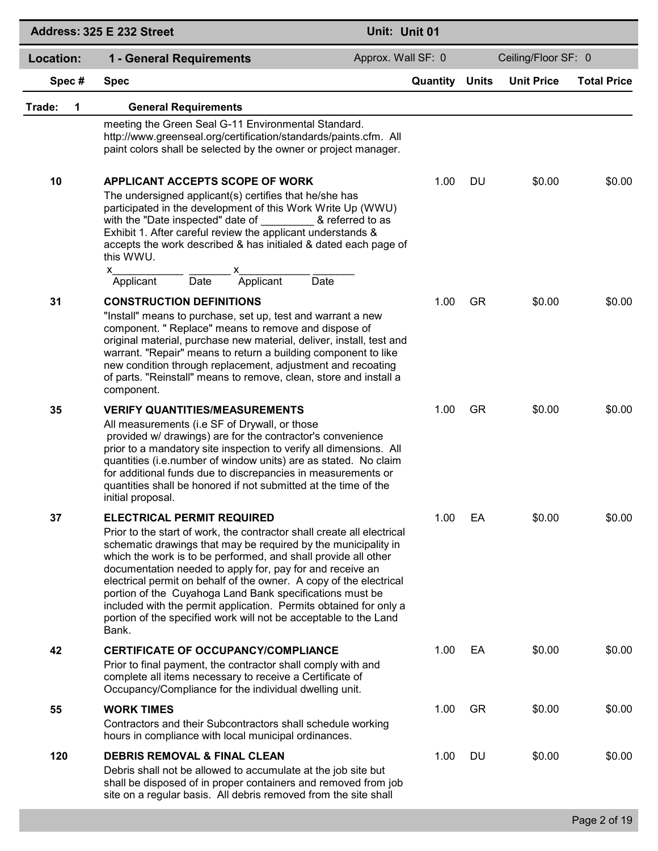|             | Address: 325 E 232 Street                                                                                                                                                                                                                                                                                                                                                                                                                                                                                                                                                                        | Unit: Unit 01      |                       |           |                     |                    |
|-------------|--------------------------------------------------------------------------------------------------------------------------------------------------------------------------------------------------------------------------------------------------------------------------------------------------------------------------------------------------------------------------------------------------------------------------------------------------------------------------------------------------------------------------------------------------------------------------------------------------|--------------------|-----------------------|-----------|---------------------|--------------------|
| Location:   | 1 - General Requirements                                                                                                                                                                                                                                                                                                                                                                                                                                                                                                                                                                         | Approx. Wall SF: 0 |                       |           | Ceiling/Floor SF: 0 |                    |
| Spec#       | <b>Spec</b>                                                                                                                                                                                                                                                                                                                                                                                                                                                                                                                                                                                      |                    | <b>Quantity Units</b> |           | <b>Unit Price</b>   | <b>Total Price</b> |
| Trade:<br>1 | <b>General Requirements</b>                                                                                                                                                                                                                                                                                                                                                                                                                                                                                                                                                                      |                    |                       |           |                     |                    |
|             | meeting the Green Seal G-11 Environmental Standard.<br>http://www.greenseal.org/certification/standards/paints.cfm. All<br>paint colors shall be selected by the owner or project manager.                                                                                                                                                                                                                                                                                                                                                                                                       |                    |                       |           |                     |                    |
| 10          | APPLICANT ACCEPTS SCOPE OF WORK<br>The undersigned applicant(s) certifies that he/she has<br>participated in the development of this Work Write Up (WWU)<br>with the "Date inspected" date of<br>Exhibit 1. After careful review the applicant understands &<br>accepts the work described & has initialed & dated each page of<br>this WWU.<br>$\mathsf{X}$ and $\mathsf{X}$ and $\mathsf{X}$<br>x<br>Applicant                                                                                                                                                                                 | & referred to as   | 1.00                  | DU        | \$0.00              | \$0.00             |
| 31          | $\overline{Date}$<br>Date<br>Applicant<br><b>CONSTRUCTION DEFINITIONS</b><br>"Install" means to purchase, set up, test and warrant a new<br>component. " Replace" means to remove and dispose of<br>original material, purchase new material, deliver, install, test and<br>warrant. "Repair" means to return a building component to like<br>new condition through replacement, adjustment and recoating<br>of parts. "Reinstall" means to remove, clean, store and install a<br>component.                                                                                                     |                    | 1.00                  | <b>GR</b> | \$0.00              | \$0.00             |
| 35          | <b>VERIFY QUANTITIES/MEASUREMENTS</b><br>All measurements (i.e SF of Drywall, or those<br>provided w/ drawings) are for the contractor's convenience<br>prior to a mandatory site inspection to verify all dimensions. All<br>quantities (i.e.number of window units) are as stated. No claim<br>for additional funds due to discrepancies in measurements or<br>quantities shall be honored if not submitted at the time of the<br>initial proposal.                                                                                                                                            |                    | 1.00                  | <b>GR</b> | \$0.00              | \$0.00             |
| 37          | <b>ELECTRICAL PERMIT REQUIRED</b><br>Prior to the start of work, the contractor shall create all electrical<br>schematic drawings that may be required by the municipality in<br>which the work is to be performed, and shall provide all other<br>documentation needed to apply for, pay for and receive an<br>electrical permit on behalf of the owner. A copy of the electrical<br>portion of the Cuyahoga Land Bank specifications must be<br>included with the permit application. Permits obtained for only a<br>portion of the specified work will not be acceptable to the Land<br>Bank. |                    | 1.00                  | EA        | \$0.00              | \$0.00             |
| 42          | <b>CERTIFICATE OF OCCUPANCY/COMPLIANCE</b><br>Prior to final payment, the contractor shall comply with and<br>complete all items necessary to receive a Certificate of<br>Occupancy/Compliance for the individual dwelling unit.                                                                                                                                                                                                                                                                                                                                                                 |                    | 1.00                  | EA        | \$0.00              | \$0.00             |
| 55          | <b>WORK TIMES</b><br>Contractors and their Subcontractors shall schedule working<br>hours in compliance with local municipal ordinances.                                                                                                                                                                                                                                                                                                                                                                                                                                                         |                    | 1.00                  | <b>GR</b> | \$0.00              | \$0.00             |
| 120         | <b>DEBRIS REMOVAL &amp; FINAL CLEAN</b><br>Debris shall not be allowed to accumulate at the job site but<br>shall be disposed of in proper containers and removed from job<br>site on a regular basis. All debris removed from the site shall                                                                                                                                                                                                                                                                                                                                                    |                    | 1.00                  | DU        | \$0.00              | \$0.00             |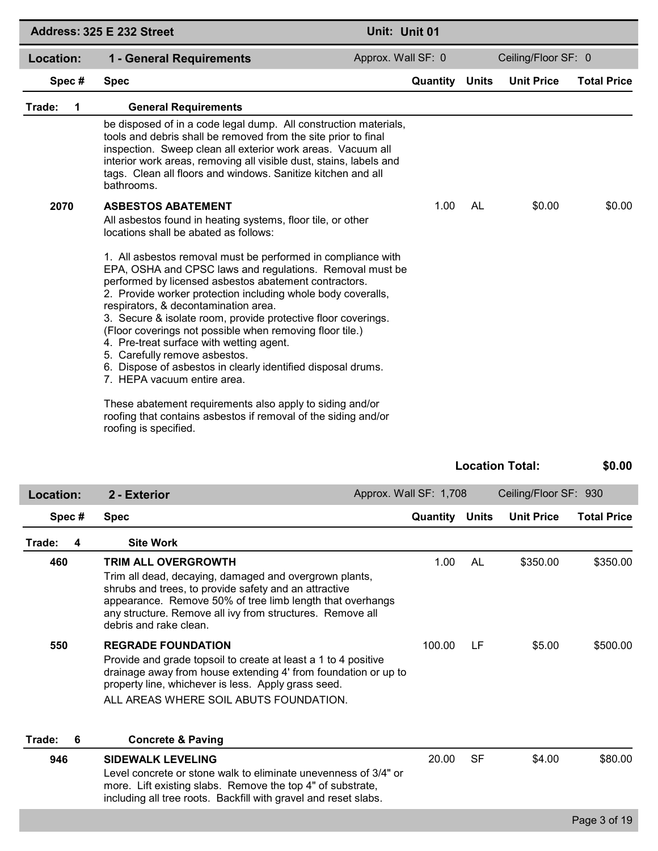|             | Address: 325 E 232 Street                                                                                                                                                                                                                                                                                                                                                                                                                                                                                                                                                                          | Unit: Unit 01      |              |                     |                    |
|-------------|----------------------------------------------------------------------------------------------------------------------------------------------------------------------------------------------------------------------------------------------------------------------------------------------------------------------------------------------------------------------------------------------------------------------------------------------------------------------------------------------------------------------------------------------------------------------------------------------------|--------------------|--------------|---------------------|--------------------|
| Location:   | 1 - General Requirements                                                                                                                                                                                                                                                                                                                                                                                                                                                                                                                                                                           | Approx. Wall SF: 0 |              | Ceiling/Floor SF: 0 |                    |
| Spec#       | <b>Spec</b>                                                                                                                                                                                                                                                                                                                                                                                                                                                                                                                                                                                        | Quantity           | <b>Units</b> | <b>Unit Price</b>   | <b>Total Price</b> |
| Trade:<br>1 | <b>General Requirements</b>                                                                                                                                                                                                                                                                                                                                                                                                                                                                                                                                                                        |                    |              |                     |                    |
|             | be disposed of in a code legal dump. All construction materials,<br>tools and debris shall be removed from the site prior to final<br>inspection. Sweep clean all exterior work areas. Vacuum all<br>interior work areas, removing all visible dust, stains, labels and<br>tags. Clean all floors and windows. Sanitize kitchen and all<br>bathrooms.                                                                                                                                                                                                                                              |                    |              |                     |                    |
| 2070        | <b>ASBESTOS ABATEMENT</b><br>All asbestos found in heating systems, floor tile, or other<br>locations shall be abated as follows:                                                                                                                                                                                                                                                                                                                                                                                                                                                                  | 1.00               | AL           | \$0.00              | \$0.00             |
|             | 1. All asbestos removal must be performed in compliance with<br>EPA, OSHA and CPSC laws and regulations. Removal must be<br>performed by licensed asbestos abatement contractors.<br>2. Provide worker protection including whole body coveralls,<br>respirators, & decontamination area.<br>3. Secure & isolate room, provide protective floor coverings.<br>(Floor coverings not possible when removing floor tile.)<br>4. Pre-treat surface with wetting agent.<br>5. Carefully remove asbestos.<br>6. Dispose of asbestos in clearly identified disposal drums.<br>7. HEPA vacuum entire area. |                    |              |                     |                    |
|             | These abatement requirements also apply to siding and/or<br>roofing that contains asbestos if removal of the siding and/or<br>roofing is specified.                                                                                                                                                                                                                                                                                                                                                                                                                                                |                    |              |                     |                    |

|             |                                                                                                                                                                                                                                                                                                   |                        |              | <b>Location Total:</b> | \$0.00             |
|-------------|---------------------------------------------------------------------------------------------------------------------------------------------------------------------------------------------------------------------------------------------------------------------------------------------------|------------------------|--------------|------------------------|--------------------|
| Location:   | 2 - Exterior                                                                                                                                                                                                                                                                                      | Approx. Wall SF: 1,708 |              | Ceiling/Floor SF: 930  |                    |
| Spec#       | <b>Spec</b>                                                                                                                                                                                                                                                                                       | Quantity               | <b>Units</b> | <b>Unit Price</b>      | <b>Total Price</b> |
| Trade:<br>4 | <b>Site Work</b>                                                                                                                                                                                                                                                                                  |                        |              |                        |                    |
| 460         | <b>TRIM ALL OVERGROWTH</b><br>Trim all dead, decaying, damaged and overgrown plants,<br>shrubs and trees, to provide safety and an attractive<br>appearance. Remove 50% of tree limb length that overhangs<br>any structure. Remove all ivy from structures. Remove all<br>debris and rake clean. | 1.00                   | AL           | \$350.00               | \$350.00           |
| 550         | <b>REGRADE FOUNDATION</b><br>Provide and grade topsoil to create at least a 1 to 4 positive<br>drainage away from house extending 4' from foundation or up to<br>property line, whichever is less. Apply grass seed.<br>ALL AREAS WHERE SOIL ABUTS FOUNDATION.                                    | 100.00                 | LF           | \$5.00                 | \$500.00           |
| Trade:<br>6 | <b>Concrete &amp; Paving</b>                                                                                                                                                                                                                                                                      |                        |              |                        |                    |
| 946         | <b>SIDEWALK LEVELING</b><br>Level concrete or stone walk to eliminate unevenness of 3/4" or<br>more. Lift existing slabs. Remove the top 4" of substrate,<br>including all tree roots. Backfill with gravel and reset slabs.                                                                      | 20.00                  | <b>SF</b>    | \$4.00                 | \$80.00            |
|             |                                                                                                                                                                                                                                                                                                   |                        |              |                        | Page 3 of 19       |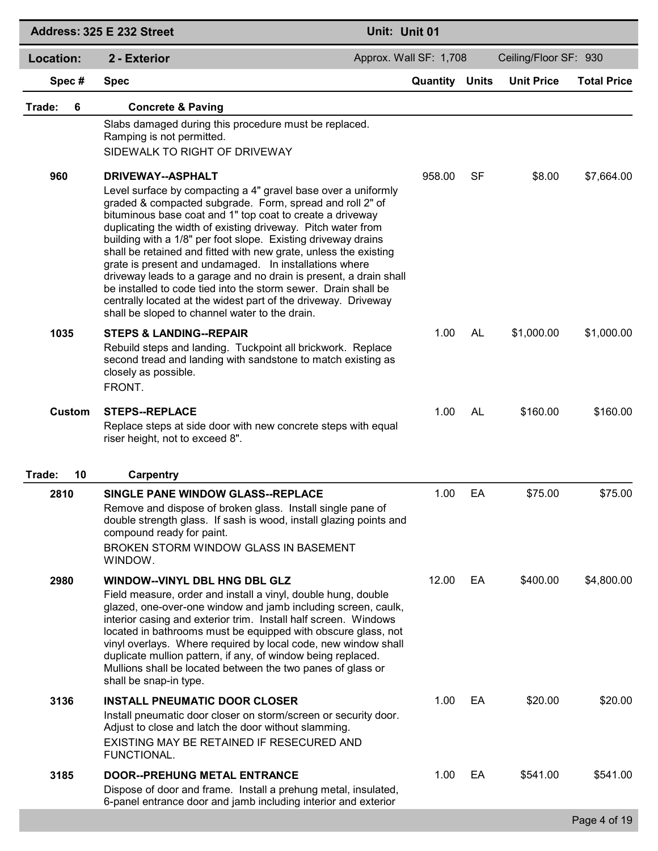|              | Address: 325 E 232 Street                                                                                                                                                                                                                                                                                                                                                                                                                                                                                                                                                                                                                                                                                                                    | Unit: Unit 01          |           |                       |                    |
|--------------|----------------------------------------------------------------------------------------------------------------------------------------------------------------------------------------------------------------------------------------------------------------------------------------------------------------------------------------------------------------------------------------------------------------------------------------------------------------------------------------------------------------------------------------------------------------------------------------------------------------------------------------------------------------------------------------------------------------------------------------------|------------------------|-----------|-----------------------|--------------------|
| Location:    | 2 - Exterior                                                                                                                                                                                                                                                                                                                                                                                                                                                                                                                                                                                                                                                                                                                                 | Approx. Wall SF: 1,708 |           | Ceiling/Floor SF: 930 |                    |
| Spec#        | <b>Spec</b>                                                                                                                                                                                                                                                                                                                                                                                                                                                                                                                                                                                                                                                                                                                                  | <b>Quantity Units</b>  |           | <b>Unit Price</b>     | <b>Total Price</b> |
| 6<br>Trade:  | <b>Concrete &amp; Paving</b>                                                                                                                                                                                                                                                                                                                                                                                                                                                                                                                                                                                                                                                                                                                 |                        |           |                       |                    |
|              | Slabs damaged during this procedure must be replaced.<br>Ramping is not permitted.<br>SIDEWALK TO RIGHT OF DRIVEWAY                                                                                                                                                                                                                                                                                                                                                                                                                                                                                                                                                                                                                          |                        |           |                       |                    |
| 960          | <b>DRIVEWAY--ASPHALT</b><br>Level surface by compacting a 4" gravel base over a uniformly<br>graded & compacted subgrade. Form, spread and roll 2" of<br>bituminous base coat and 1" top coat to create a driveway<br>duplicating the width of existing driveway. Pitch water from<br>building with a 1/8" per foot slope. Existing driveway drains<br>shall be retained and fitted with new grate, unless the existing<br>grate is present and undamaged. In installations where<br>driveway leads to a garage and no drain is present, a drain shall<br>be installed to code tied into the storm sewer. Drain shall be<br>centrally located at the widest part of the driveway. Driveway<br>shall be sloped to channel water to the drain. | 958.00                 | SF        | \$8.00                | \$7,664.00         |
| 1035         | <b>STEPS &amp; LANDING--REPAIR</b><br>Rebuild steps and landing. Tuckpoint all brickwork. Replace<br>second tread and landing with sandstone to match existing as<br>closely as possible.<br>FRONT.                                                                                                                                                                                                                                                                                                                                                                                                                                                                                                                                          | 1.00                   | <b>AL</b> | \$1,000.00            | \$1,000.00         |
| Custom       | <b>STEPS--REPLACE</b><br>Replace steps at side door with new concrete steps with equal<br>riser height, not to exceed 8".                                                                                                                                                                                                                                                                                                                                                                                                                                                                                                                                                                                                                    | 1.00                   | AL        | \$160.00              | \$160.00           |
| 10<br>Trade: | <b>Carpentry</b>                                                                                                                                                                                                                                                                                                                                                                                                                                                                                                                                                                                                                                                                                                                             |                        |           |                       |                    |
| 2810         | SINGLE PANE WINDOW GLASS--REPLACE<br>Remove and dispose of broken glass. Install single pane of<br>double strength glass. If sash is wood, install glazing points and<br>compound ready for paint.<br>BROKEN STORM WINDOW GLASS IN BASEMENT<br>WINDOW.                                                                                                                                                                                                                                                                                                                                                                                                                                                                                       | 1.00                   | EA        | \$75.00               | \$75.00            |
| 2980         | <b>WINDOW--VINYL DBL HNG DBL GLZ</b><br>Field measure, order and install a vinyl, double hung, double<br>glazed, one-over-one window and jamb including screen, caulk,<br>interior casing and exterior trim. Install half screen. Windows<br>located in bathrooms must be equipped with obscure glass, not<br>vinyl overlays. Where required by local code, new window shall<br>duplicate mullion pattern, if any, of window being replaced.<br>Mullions shall be located between the two panes of glass or<br>shall be snap-in type.                                                                                                                                                                                                        | 12.00                  | EA        | \$400.00              | \$4,800.00         |
| 3136         | <b>INSTALL PNEUMATIC DOOR CLOSER</b><br>Install pneumatic door closer on storm/screen or security door.<br>Adjust to close and latch the door without slamming.<br>EXISTING MAY BE RETAINED IF RESECURED AND<br>FUNCTIONAL.                                                                                                                                                                                                                                                                                                                                                                                                                                                                                                                  | 1.00                   | EA        | \$20.00               | \$20.00            |
| 3185         | <b>DOOR--PREHUNG METAL ENTRANCE</b><br>Dispose of door and frame. Install a prehung metal, insulated,<br>6-panel entrance door and jamb including interior and exterior                                                                                                                                                                                                                                                                                                                                                                                                                                                                                                                                                                      | 1.00                   | EA        | \$541.00              | \$541.00           |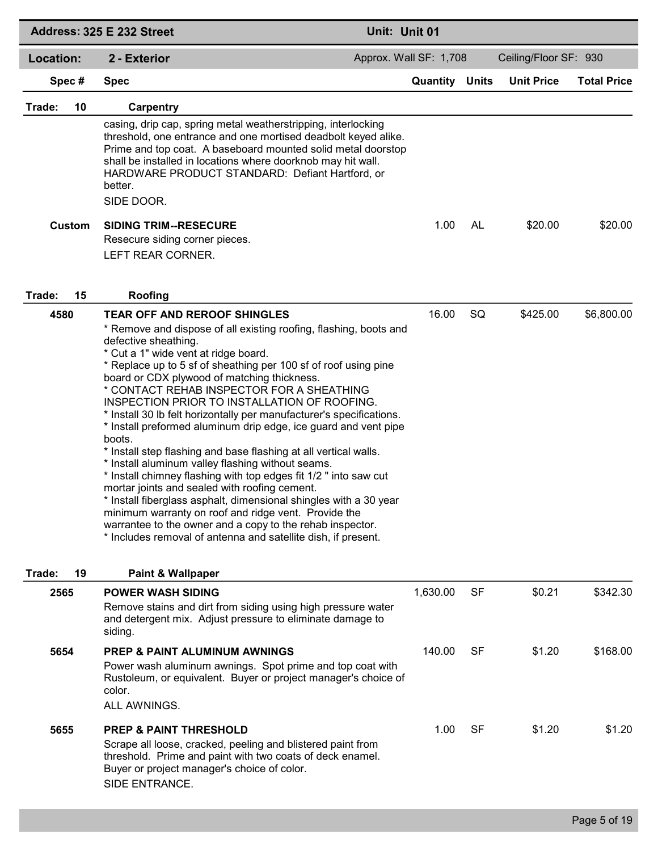|              | Address: 325 E 232 Street                                                                                                                                                                                                                                                                                                                                                                                                                                                                                                                                                                                                                                                                                                                                                                                                                                                                                                                                                                                                                             | Unit: Unit 01          |           |                       |                    |
|--------------|-------------------------------------------------------------------------------------------------------------------------------------------------------------------------------------------------------------------------------------------------------------------------------------------------------------------------------------------------------------------------------------------------------------------------------------------------------------------------------------------------------------------------------------------------------------------------------------------------------------------------------------------------------------------------------------------------------------------------------------------------------------------------------------------------------------------------------------------------------------------------------------------------------------------------------------------------------------------------------------------------------------------------------------------------------|------------------------|-----------|-----------------------|--------------------|
| Location:    | 2 - Exterior                                                                                                                                                                                                                                                                                                                                                                                                                                                                                                                                                                                                                                                                                                                                                                                                                                                                                                                                                                                                                                          | Approx. Wall SF: 1,708 |           | Ceiling/Floor SF: 930 |                    |
| Spec#        | <b>Spec</b>                                                                                                                                                                                                                                                                                                                                                                                                                                                                                                                                                                                                                                                                                                                                                                                                                                                                                                                                                                                                                                           | <b>Quantity Units</b>  |           | <b>Unit Price</b>     | <b>Total Price</b> |
| Trade:<br>10 | Carpentry                                                                                                                                                                                                                                                                                                                                                                                                                                                                                                                                                                                                                                                                                                                                                                                                                                                                                                                                                                                                                                             |                        |           |                       |                    |
| Custom       | casing, drip cap, spring metal weatherstripping, interlocking<br>threshold, one entrance and one mortised deadbolt keyed alike.<br>Prime and top coat. A baseboard mounted solid metal doorstop<br>shall be installed in locations where doorknob may hit wall.<br>HARDWARE PRODUCT STANDARD: Defiant Hartford, or<br>better.<br>SIDE DOOR.<br><b>SIDING TRIM--RESECURE</b>                                                                                                                                                                                                                                                                                                                                                                                                                                                                                                                                                                                                                                                                           | 1.00                   | AL        | \$20.00               | \$20.00            |
|              | Resecure siding corner pieces.<br>LEFT REAR CORNER.                                                                                                                                                                                                                                                                                                                                                                                                                                                                                                                                                                                                                                                                                                                                                                                                                                                                                                                                                                                                   |                        |           |                       |                    |
| Trade:<br>15 | Roofing                                                                                                                                                                                                                                                                                                                                                                                                                                                                                                                                                                                                                                                                                                                                                                                                                                                                                                                                                                                                                                               |                        |           |                       |                    |
| 4580         | <b>TEAR OFF AND REROOF SHINGLES</b><br>* Remove and dispose of all existing roofing, flashing, boots and<br>defective sheathing.<br>* Cut a 1" wide vent at ridge board.<br>* Replace up to 5 sf of sheathing per 100 sf of roof using pine<br>board or CDX plywood of matching thickness.<br>* CONTACT REHAB INSPECTOR FOR A SHEATHING<br>INSPECTION PRIOR TO INSTALLATION OF ROOFING.<br>* Install 30 lb felt horizontally per manufacturer's specifications.<br>* Install preformed aluminum drip edge, ice guard and vent pipe<br>boots.<br>* Install step flashing and base flashing at all vertical walls.<br>* Install aluminum valley flashing without seams.<br>* Install chimney flashing with top edges fit 1/2 " into saw cut<br>mortar joints and sealed with roofing cement.<br>* Install fiberglass asphalt, dimensional shingles with a 30 year<br>minimum warranty on roof and ridge vent. Provide the<br>warrantee to the owner and a copy to the rehab inspector.<br>* Includes removal of antenna and satellite dish, if present. | 16.00                  | SQ        | \$425.00              | \$6,800.00         |
| 19<br>Trade: | <b>Paint &amp; Wallpaper</b>                                                                                                                                                                                                                                                                                                                                                                                                                                                                                                                                                                                                                                                                                                                                                                                                                                                                                                                                                                                                                          |                        |           |                       |                    |
| 2565         | <b>POWER WASH SIDING</b><br>Remove stains and dirt from siding using high pressure water<br>and detergent mix. Adjust pressure to eliminate damage to<br>siding.                                                                                                                                                                                                                                                                                                                                                                                                                                                                                                                                                                                                                                                                                                                                                                                                                                                                                      | 1,630.00               | <b>SF</b> | \$0.21                | \$342.30           |
| 5654         | <b>PREP &amp; PAINT ALUMINUM AWNINGS</b><br>Power wash aluminum awnings. Spot prime and top coat with<br>Rustoleum, or equivalent. Buyer or project manager's choice of<br>color.<br>ALL AWNINGS.                                                                                                                                                                                                                                                                                                                                                                                                                                                                                                                                                                                                                                                                                                                                                                                                                                                     | 140.00                 | SF        | \$1.20                | \$168.00           |
| 5655         | <b>PREP &amp; PAINT THRESHOLD</b><br>Scrape all loose, cracked, peeling and blistered paint from<br>threshold. Prime and paint with two coats of deck enamel.<br>Buyer or project manager's choice of color.<br>SIDE ENTRANCE.                                                                                                                                                                                                                                                                                                                                                                                                                                                                                                                                                                                                                                                                                                                                                                                                                        | 1.00                   | SF        | \$1.20                | \$1.20             |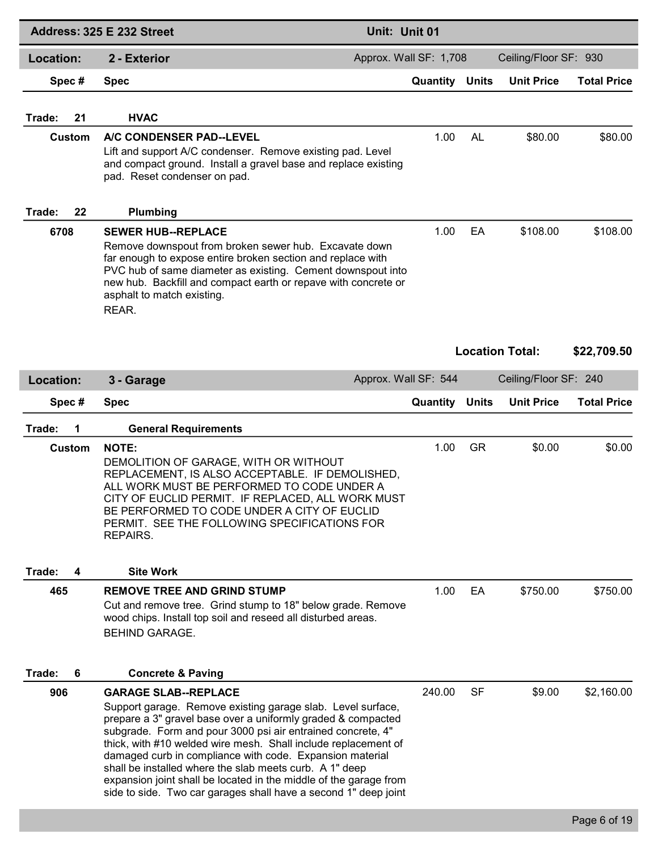|              | Address: 325 E 232 Street                                                                                                                                                                                                                                                                                                                                                                                                                                                                                                                                  | Unit: Unit 01          |              |                        |                    |
|--------------|------------------------------------------------------------------------------------------------------------------------------------------------------------------------------------------------------------------------------------------------------------------------------------------------------------------------------------------------------------------------------------------------------------------------------------------------------------------------------------------------------------------------------------------------------------|------------------------|--------------|------------------------|--------------------|
| Location:    | 2 - Exterior                                                                                                                                                                                                                                                                                                                                                                                                                                                                                                                                               | Approx. Wall SF: 1,708 |              | Ceiling/Floor SF: 930  |                    |
| Spec#        | <b>Spec</b>                                                                                                                                                                                                                                                                                                                                                                                                                                                                                                                                                | Quantity               | <b>Units</b> | <b>Unit Price</b>      | <b>Total Price</b> |
| 21<br>Trade: | <b>HVAC</b>                                                                                                                                                                                                                                                                                                                                                                                                                                                                                                                                                |                        |              |                        |                    |
| Custom       | A/C CONDENSER PAD--LEVEL<br>Lift and support A/C condenser. Remove existing pad. Level<br>and compact ground. Install a gravel base and replace existing<br>pad. Reset condenser on pad.                                                                                                                                                                                                                                                                                                                                                                   | 1.00                   | AL           | \$80.00                | \$80.00            |
| Trade:<br>22 | Plumbing                                                                                                                                                                                                                                                                                                                                                                                                                                                                                                                                                   |                        |              |                        |                    |
| 6708         | <b>SEWER HUB--REPLACE</b><br>Remove downspout from broken sewer hub. Excavate down<br>far enough to expose entire broken section and replace with<br>PVC hub of same diameter as existing. Cement downspout into<br>new hub. Backfill and compact earth or repave with concrete or<br>asphalt to match existing.<br>REAR.                                                                                                                                                                                                                                  | 1.00                   | EA           | \$108.00               | \$108.00           |
|              |                                                                                                                                                                                                                                                                                                                                                                                                                                                                                                                                                            |                        |              | <b>Location Total:</b> | \$22,709.50        |
| Location:    | 3 - Garage                                                                                                                                                                                                                                                                                                                                                                                                                                                                                                                                                 | Approx. Wall SF: 544   |              | Ceiling/Floor SF: 240  |                    |
| Spec#        | <b>Spec</b>                                                                                                                                                                                                                                                                                                                                                                                                                                                                                                                                                | Quantity               | <b>Units</b> | <b>Unit Price</b>      | <b>Total Price</b> |
| Trade:<br>1  | <b>General Requirements</b>                                                                                                                                                                                                                                                                                                                                                                                                                                                                                                                                |                        |              |                        |                    |
| Custom       | <b>NOTE:</b><br>DEMOLITION OF GARAGE, WITH OR WITHOUT<br>REPLACEMENT, IS ALSO ACCEPTABLE. IF DEMOLISHED,<br>ALL WORK MUST BE PERFORMED TO CODE UNDER A<br>CITY OF EUCLID PERMIT. IF REPLACED, ALL WORK MUST<br>BE PERFORMED TO CODE UNDER A CITY OF EUCLID<br>PERMIT. SEE THE FOLLOWING SPECIFICATIONS FOR<br>REPAIRS.                                                                                                                                                                                                                                     | 1.00                   | <b>GR</b>    | \$0.00                 | \$0.00             |
| Trade:<br>4  | <b>Site Work</b>                                                                                                                                                                                                                                                                                                                                                                                                                                                                                                                                           |                        |              |                        |                    |
| 465          | <b>REMOVE TREE AND GRIND STUMP</b><br>Cut and remove tree. Grind stump to 18" below grade. Remove<br>wood chips. Install top soil and reseed all disturbed areas.<br><b>BEHIND GARAGE.</b>                                                                                                                                                                                                                                                                                                                                                                 | 1.00                   | EA           | \$750.00               | \$750.00           |
| Trade:<br>6  | <b>Concrete &amp; Paving</b>                                                                                                                                                                                                                                                                                                                                                                                                                                                                                                                               |                        |              |                        |                    |
| 906          | <b>GARAGE SLAB--REPLACE</b><br>Support garage. Remove existing garage slab. Level surface,<br>prepare a 3" gravel base over a uniformly graded & compacted<br>subgrade. Form and pour 3000 psi air entrained concrete, 4"<br>thick, with #10 welded wire mesh. Shall include replacement of<br>damaged curb in compliance with code. Expansion material<br>shall be installed where the slab meets curb. A 1" deep<br>expansion joint shall be located in the middle of the garage from<br>side to side. Two car garages shall have a second 1" deep joint | 240.00                 | SF           | \$9.00                 | \$2,160.00         |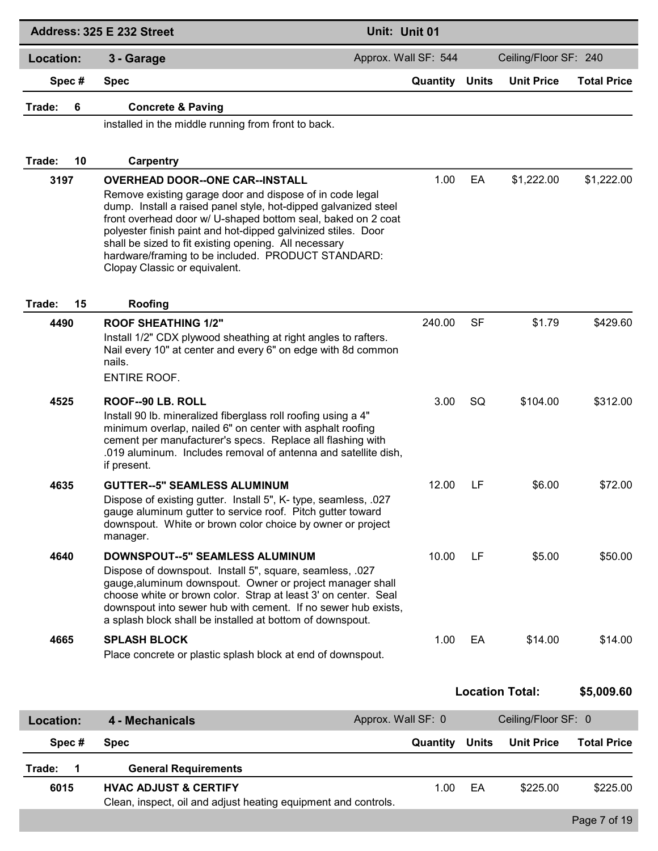|                  | Address: 325 E 232 Street                                                                                                                                                                                                                                                                                                                                                                                    | Unit: Unit 01        |              |                        |                    |
|------------------|--------------------------------------------------------------------------------------------------------------------------------------------------------------------------------------------------------------------------------------------------------------------------------------------------------------------------------------------------------------------------------------------------------------|----------------------|--------------|------------------------|--------------------|
| <b>Location:</b> | 3 - Garage                                                                                                                                                                                                                                                                                                                                                                                                   | Approx. Wall SF: 544 |              | Ceiling/Floor SF: 240  |                    |
| Spec#            | <b>Spec</b>                                                                                                                                                                                                                                                                                                                                                                                                  | Quantity             | <b>Units</b> | <b>Unit Price</b>      | <b>Total Price</b> |
| Trade:<br>6      | <b>Concrete &amp; Paving</b>                                                                                                                                                                                                                                                                                                                                                                                 |                      |              |                        |                    |
|                  | installed in the middle running from front to back.                                                                                                                                                                                                                                                                                                                                                          |                      |              |                        |                    |
| Trade:<br>10     | Carpentry                                                                                                                                                                                                                                                                                                                                                                                                    |                      |              |                        |                    |
| 3197             | <b>OVERHEAD DOOR--ONE CAR--INSTALL</b>                                                                                                                                                                                                                                                                                                                                                                       | 1.00                 | EA           | \$1,222.00             | \$1,222.00         |
|                  | Remove existing garage door and dispose of in code legal<br>dump. Install a raised panel style, hot-dipped galvanized steel<br>front overhead door w/ U-shaped bottom seal, baked on 2 coat<br>polyester finish paint and hot-dipped galvinized stiles. Door<br>shall be sized to fit existing opening. All necessary<br>hardware/framing to be included. PRODUCT STANDARD:<br>Clopay Classic or equivalent. |                      |              |                        |                    |
| 15<br>Trade:     | Roofing                                                                                                                                                                                                                                                                                                                                                                                                      |                      |              |                        |                    |
| 4490             | <b>ROOF SHEATHING 1/2"</b><br>Install 1/2" CDX plywood sheathing at right angles to rafters.<br>Nail every 10" at center and every 6" on edge with 8d common<br>nails.<br><b>ENTIRE ROOF.</b>                                                                                                                                                                                                                | 240.00               | SF           | \$1.79                 | \$429.60           |
| 4525             | ROOF--90 LB. ROLL                                                                                                                                                                                                                                                                                                                                                                                            | 3.00                 | <b>SQ</b>    | \$104.00               | \$312.00           |
|                  | Install 90 lb. mineralized fiberglass roll roofing using a 4"<br>minimum overlap, nailed 6" on center with asphalt roofing<br>cement per manufacturer's specs. Replace all flashing with<br>.019 aluminum. Includes removal of antenna and satellite dish,<br>if present.                                                                                                                                    |                      |              |                        |                    |
| 4635             | <b>GUTTER--5" SEAMLESS ALUMINUM</b>                                                                                                                                                                                                                                                                                                                                                                          | 12.00                | LF           | \$6.00                 | \$72.00            |
|                  | Dispose of existing gutter. Install 5", K- type, seamless, .027<br>gauge aluminum gutter to service roof. Pitch gutter toward<br>downspout. White or brown color choice by owner or project<br>manager.                                                                                                                                                                                                      |                      |              |                        |                    |
| 4640             | <b>DOWNSPOUT--5" SEAMLESS ALUMINUM</b><br>Dispose of downspout. Install 5", square, seamless, .027<br>gauge, aluminum downspout. Owner or project manager shall<br>choose white or brown color. Strap at least 3' on center. Seal<br>downspout into sewer hub with cement. If no sewer hub exists,<br>a splash block shall be installed at bottom of downspout.                                              | 10.00                | LF           | \$5.00                 | \$50.00            |
| 4665             | <b>SPLASH BLOCK</b><br>Place concrete or plastic splash block at end of downspout.                                                                                                                                                                                                                                                                                                                           | 1.00                 | EA           | \$14.00                | \$14.00            |
|                  |                                                                                                                                                                                                                                                                                                                                                                                                              |                      |              | <b>Location Total:</b> | \$5,009.60         |
| Location:        | 4 - Mechanicals                                                                                                                                                                                                                                                                                                                                                                                              | Approx. Wall SF: 0   |              | Ceiling/Floor SF: 0    |                    |
| Spec#            | <b>Spec</b>                                                                                                                                                                                                                                                                                                                                                                                                  | Quantity             | <b>Units</b> | <b>Unit Price</b>      | <b>Total Price</b> |
| Trade:<br>1      | <b>General Requirements</b>                                                                                                                                                                                                                                                                                                                                                                                  |                      |              |                        |                    |
| 6015             | <b>HVAC ADJUST &amp; CERTIFY</b><br>Clean, inspect, oil and adjust heating equipment and controls.                                                                                                                                                                                                                                                                                                           | 1.00                 | EA           | \$225.00               | \$225.00           |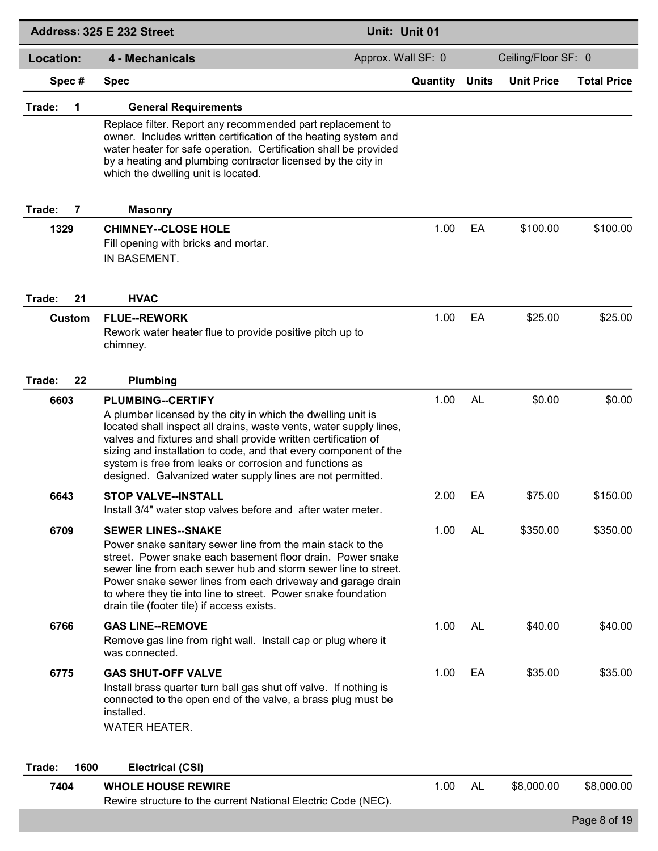|                  | Address: 325 E 232 Street                                                                                                                                                                                                                                                                                                                                                                                                     | Unit: Unit 01      |              |                     |                    |
|------------------|-------------------------------------------------------------------------------------------------------------------------------------------------------------------------------------------------------------------------------------------------------------------------------------------------------------------------------------------------------------------------------------------------------------------------------|--------------------|--------------|---------------------|--------------------|
| <b>Location:</b> | 4 - Mechanicals                                                                                                                                                                                                                                                                                                                                                                                                               | Approx. Wall SF: 0 |              | Ceiling/Floor SF: 0 |                    |
| Spec#            | <b>Spec</b>                                                                                                                                                                                                                                                                                                                                                                                                                   | Quantity           | <b>Units</b> | <b>Unit Price</b>   | <b>Total Price</b> |
| Trade:<br>1      | <b>General Requirements</b>                                                                                                                                                                                                                                                                                                                                                                                                   |                    |              |                     |                    |
|                  | Replace filter. Report any recommended part replacement to<br>owner. Includes written certification of the heating system and<br>water heater for safe operation. Certification shall be provided<br>by a heating and plumbing contractor licensed by the city in<br>which the dwelling unit is located.                                                                                                                      |                    |              |                     |                    |
| Trade:<br>7      | <b>Masonry</b>                                                                                                                                                                                                                                                                                                                                                                                                                |                    |              |                     |                    |
| 1329             | <b>CHIMNEY--CLOSE HOLE</b><br>Fill opening with bricks and mortar.<br>IN BASEMENT.                                                                                                                                                                                                                                                                                                                                            | 1.00               | EA           | \$100.00            | \$100.00           |
| Trade:<br>21     | <b>HVAC</b>                                                                                                                                                                                                                                                                                                                                                                                                                   |                    |              |                     |                    |
| Custom           | <b>FLUE--REWORK</b><br>Rework water heater flue to provide positive pitch up to<br>chimney.                                                                                                                                                                                                                                                                                                                                   | 1.00               | EA           | \$25.00             | \$25.00            |
| 22<br>Trade:     | Plumbing                                                                                                                                                                                                                                                                                                                                                                                                                      |                    |              |                     |                    |
| 6603             | <b>PLUMBING--CERTIFY</b><br>A plumber licensed by the city in which the dwelling unit is<br>located shall inspect all drains, waste vents, water supply lines,<br>valves and fixtures and shall provide written certification of<br>sizing and installation to code, and that every component of the<br>system is free from leaks or corrosion and functions as<br>designed. Galvanized water supply lines are not permitted. | 1.00               | <b>AL</b>    | \$0.00              | \$0.00             |
| 6643             | <b>STOP VALVE--INSTALL</b><br>Install 3/4" water stop valves before and after water meter.                                                                                                                                                                                                                                                                                                                                    | 2.00               | EA           | \$75.00             | \$150.00           |
| 6709             | <b>SEWER LINES--SNAKE</b><br>Power snake sanitary sewer line from the main stack to the<br>street. Power snake each basement floor drain. Power snake<br>sewer line from each sewer hub and storm sewer line to street.<br>Power snake sewer lines from each driveway and garage drain<br>to where they tie into line to street. Power snake foundation<br>drain tile (footer tile) if access exists.                         | 1.00               | AL           | \$350.00            | \$350.00           |
| 6766             | <b>GAS LINE--REMOVE</b><br>Remove gas line from right wall. Install cap or plug where it<br>was connected.                                                                                                                                                                                                                                                                                                                    | 1.00               | AL           | \$40.00             | \$40.00            |
| 6775             | <b>GAS SHUT-OFF VALVE</b><br>Install brass quarter turn ball gas shut off valve. If nothing is<br>connected to the open end of the valve, a brass plug must be<br>installed.<br><b>WATER HEATER.</b>                                                                                                                                                                                                                          | 1.00               | EA           | \$35.00             | \$35.00            |
| 1600<br>Trade:   | <b>Electrical (CSI)</b>                                                                                                                                                                                                                                                                                                                                                                                                       |                    |              |                     |                    |
| 7404             | <b>WHOLE HOUSE REWIRE</b><br>Rewire structure to the current National Electric Code (NEC).                                                                                                                                                                                                                                                                                                                                    | 1.00               | AL           | \$8,000.00          | \$8,000.00         |
|                  |                                                                                                                                                                                                                                                                                                                                                                                                                               |                    |              |                     | Page 8 of 19       |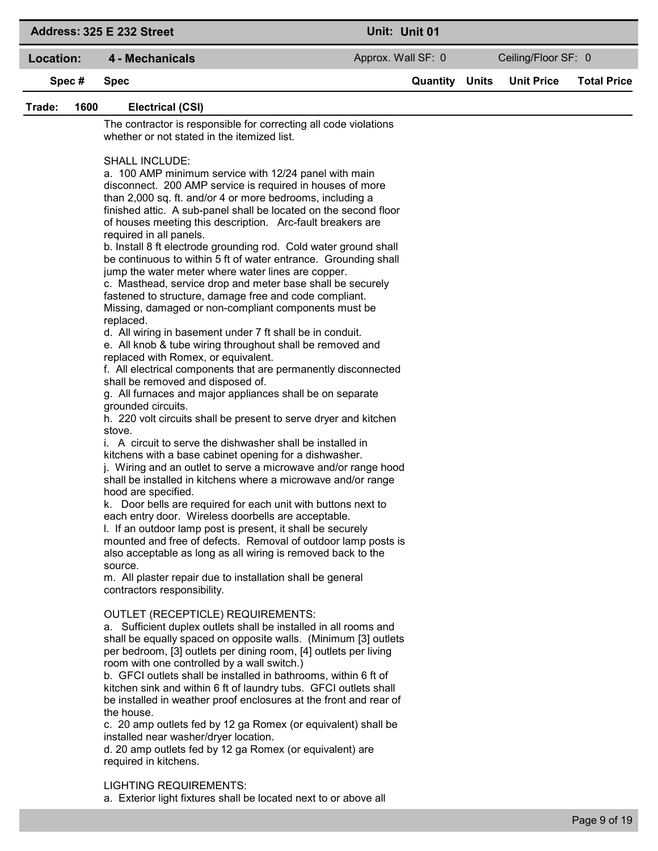|                | Address: 325 E 232 Street                                                                                                                                                                                                                                                                                                                                                                                                                                                                                                                                                                                                                                                                                                                                                                                                                                                                                                                                                                                                                                                                                                                                                                                                                                                                                                                                                                                                                                                                                                                                                                                                                                                                                                                                                                                                                                                                                                                                                                                                                                                                                                                                                                                                                                                                                                                                                                                                                                                                                                                                                                                                                                 |                    | Unit: Unit 01         |                     |                    |
|----------------|-----------------------------------------------------------------------------------------------------------------------------------------------------------------------------------------------------------------------------------------------------------------------------------------------------------------------------------------------------------------------------------------------------------------------------------------------------------------------------------------------------------------------------------------------------------------------------------------------------------------------------------------------------------------------------------------------------------------------------------------------------------------------------------------------------------------------------------------------------------------------------------------------------------------------------------------------------------------------------------------------------------------------------------------------------------------------------------------------------------------------------------------------------------------------------------------------------------------------------------------------------------------------------------------------------------------------------------------------------------------------------------------------------------------------------------------------------------------------------------------------------------------------------------------------------------------------------------------------------------------------------------------------------------------------------------------------------------------------------------------------------------------------------------------------------------------------------------------------------------------------------------------------------------------------------------------------------------------------------------------------------------------------------------------------------------------------------------------------------------------------------------------------------------------------------------------------------------------------------------------------------------------------------------------------------------------------------------------------------------------------------------------------------------------------------------------------------------------------------------------------------------------------------------------------------------------------------------------------------------------------------------------------------------|--------------------|-----------------------|---------------------|--------------------|
| Location:      | 4 - Mechanicals                                                                                                                                                                                                                                                                                                                                                                                                                                                                                                                                                                                                                                                                                                                                                                                                                                                                                                                                                                                                                                                                                                                                                                                                                                                                                                                                                                                                                                                                                                                                                                                                                                                                                                                                                                                                                                                                                                                                                                                                                                                                                                                                                                                                                                                                                                                                                                                                                                                                                                                                                                                                                                           | Approx. Wall SF: 0 |                       | Ceiling/Floor SF: 0 |                    |
| Spec#          | <b>Spec</b>                                                                                                                                                                                                                                                                                                                                                                                                                                                                                                                                                                                                                                                                                                                                                                                                                                                                                                                                                                                                                                                                                                                                                                                                                                                                                                                                                                                                                                                                                                                                                                                                                                                                                                                                                                                                                                                                                                                                                                                                                                                                                                                                                                                                                                                                                                                                                                                                                                                                                                                                                                                                                                               |                    | <b>Quantity Units</b> | <b>Unit Price</b>   | <b>Total Price</b> |
| Trade:<br>1600 | <b>Electrical (CSI)</b>                                                                                                                                                                                                                                                                                                                                                                                                                                                                                                                                                                                                                                                                                                                                                                                                                                                                                                                                                                                                                                                                                                                                                                                                                                                                                                                                                                                                                                                                                                                                                                                                                                                                                                                                                                                                                                                                                                                                                                                                                                                                                                                                                                                                                                                                                                                                                                                                                                                                                                                                                                                                                                   |                    |                       |                     |                    |
|                | The contractor is responsible for correcting all code violations<br>whether or not stated in the itemized list.                                                                                                                                                                                                                                                                                                                                                                                                                                                                                                                                                                                                                                                                                                                                                                                                                                                                                                                                                                                                                                                                                                                                                                                                                                                                                                                                                                                                                                                                                                                                                                                                                                                                                                                                                                                                                                                                                                                                                                                                                                                                                                                                                                                                                                                                                                                                                                                                                                                                                                                                           |                    |                       |                     |                    |
|                | <b>SHALL INCLUDE:</b><br>a. 100 AMP minimum service with 12/24 panel with main<br>disconnect. 200 AMP service is required in houses of more<br>than 2,000 sq. ft. and/or 4 or more bedrooms, including a<br>finished attic. A sub-panel shall be located on the second floor<br>of houses meeting this description. Arc-fault breakers are<br>required in all panels.<br>b. Install 8 ft electrode grounding rod. Cold water ground shall<br>be continuous to within 5 ft of water entrance. Grounding shall<br>jump the water meter where water lines are copper.<br>c. Masthead, service drop and meter base shall be securely<br>fastened to structure, damage free and code compliant.<br>Missing, damaged or non-compliant components must be<br>replaced.<br>d. All wiring in basement under 7 ft shall be in conduit.<br>e. All knob & tube wiring throughout shall be removed and<br>replaced with Romex, or equivalent.<br>f. All electrical components that are permanently disconnected<br>shall be removed and disposed of.<br>g. All furnaces and major appliances shall be on separate<br>grounded circuits.<br>h. 220 volt circuits shall be present to serve dryer and kitchen<br>stove.<br>i. A circuit to serve the dishwasher shall be installed in<br>kitchens with a base cabinet opening for a dishwasher.<br>j. Wiring and an outlet to serve a microwave and/or range hood<br>shall be installed in kitchens where a microwave and/or range<br>hood are specified.<br>k. Door bells are required for each unit with buttons next to<br>each entry door. Wireless doorbells are acceptable.<br>I. If an outdoor lamp post is present, it shall be securely<br>mounted and free of defects. Removal of outdoor lamp posts is<br>also acceptable as long as all wiring is removed back to the<br>source.<br>m. All plaster repair due to installation shall be general<br>contractors responsibility.<br><b>OUTLET (RECEPTICLE) REQUIREMENTS:</b><br>a. Sufficient duplex outlets shall be installed in all rooms and<br>shall be equally spaced on opposite walls. (Minimum [3] outlets<br>per bedroom, [3] outlets per dining room, [4] outlets per living<br>room with one controlled by a wall switch.)<br>b. GFCI outlets shall be installed in bathrooms, within 6 ft of<br>kitchen sink and within 6 ft of laundry tubs. GFCI outlets shall<br>be installed in weather proof enclosures at the front and rear of<br>the house.<br>c. 20 amp outlets fed by 12 ga Romex (or equivalent) shall be<br>installed near washer/dryer location.<br>d. 20 amp outlets fed by 12 ga Romex (or equivalent) are<br>required in kitchens. |                    |                       |                     |                    |
|                | <b>LIGHTING REQUIREMENTS:</b><br>a. Exterior light fixtures shall be located next to or above all                                                                                                                                                                                                                                                                                                                                                                                                                                                                                                                                                                                                                                                                                                                                                                                                                                                                                                                                                                                                                                                                                                                                                                                                                                                                                                                                                                                                                                                                                                                                                                                                                                                                                                                                                                                                                                                                                                                                                                                                                                                                                                                                                                                                                                                                                                                                                                                                                                                                                                                                                         |                    |                       |                     |                    |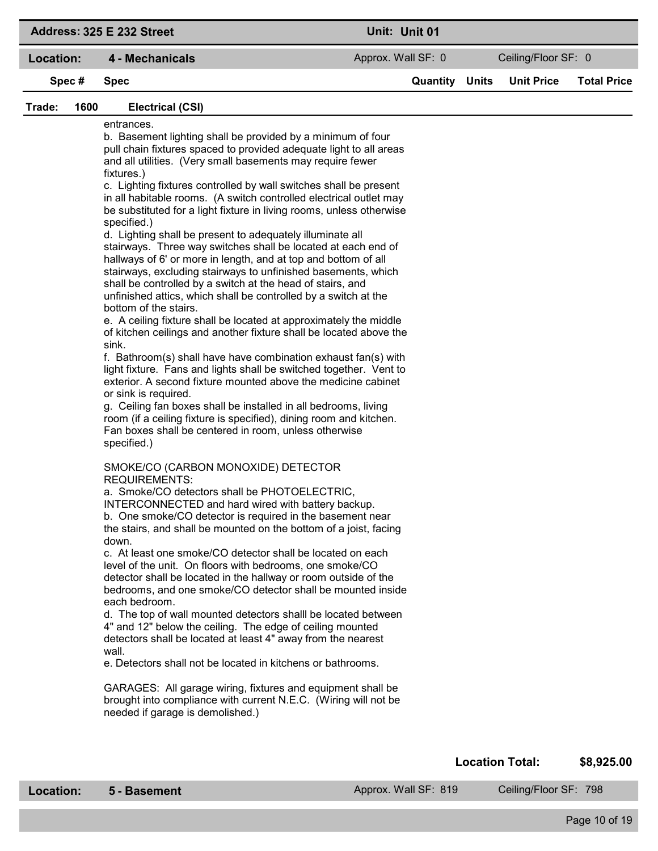|                | Address: 325 E 232 Street                                                                                                                                                                                                                                                                                                                                                                                                                                                                                                                                                                                                                                                                                                                                                                                                                                                                                                                                                                                                                                                                                                                                                                                                                                                                                                                                                                                                                                                                                                                                                                                                                                                                                                                                                                                                                                                                                                                                                                                                                                                                                                                                                                                                                                                                                                                                                                                                                                                                                                                 | Unit: Unit 01      |                       |                        |                    |
|----------------|-------------------------------------------------------------------------------------------------------------------------------------------------------------------------------------------------------------------------------------------------------------------------------------------------------------------------------------------------------------------------------------------------------------------------------------------------------------------------------------------------------------------------------------------------------------------------------------------------------------------------------------------------------------------------------------------------------------------------------------------------------------------------------------------------------------------------------------------------------------------------------------------------------------------------------------------------------------------------------------------------------------------------------------------------------------------------------------------------------------------------------------------------------------------------------------------------------------------------------------------------------------------------------------------------------------------------------------------------------------------------------------------------------------------------------------------------------------------------------------------------------------------------------------------------------------------------------------------------------------------------------------------------------------------------------------------------------------------------------------------------------------------------------------------------------------------------------------------------------------------------------------------------------------------------------------------------------------------------------------------------------------------------------------------------------------------------------------------------------------------------------------------------------------------------------------------------------------------------------------------------------------------------------------------------------------------------------------------------------------------------------------------------------------------------------------------------------------------------------------------------------------------------------------------|--------------------|-----------------------|------------------------|--------------------|
| Location:      | 4 - Mechanicals                                                                                                                                                                                                                                                                                                                                                                                                                                                                                                                                                                                                                                                                                                                                                                                                                                                                                                                                                                                                                                                                                                                                                                                                                                                                                                                                                                                                                                                                                                                                                                                                                                                                                                                                                                                                                                                                                                                                                                                                                                                                                                                                                                                                                                                                                                                                                                                                                                                                                                                           | Approx. Wall SF: 0 |                       | Ceiling/Floor SF: 0    |                    |
| Spec#          | <b>Spec</b>                                                                                                                                                                                                                                                                                                                                                                                                                                                                                                                                                                                                                                                                                                                                                                                                                                                                                                                                                                                                                                                                                                                                                                                                                                                                                                                                                                                                                                                                                                                                                                                                                                                                                                                                                                                                                                                                                                                                                                                                                                                                                                                                                                                                                                                                                                                                                                                                                                                                                                                               |                    | <b>Quantity Units</b> | <b>Unit Price</b>      | <b>Total Price</b> |
| Trade:<br>1600 | <b>Electrical (CSI)</b>                                                                                                                                                                                                                                                                                                                                                                                                                                                                                                                                                                                                                                                                                                                                                                                                                                                                                                                                                                                                                                                                                                                                                                                                                                                                                                                                                                                                                                                                                                                                                                                                                                                                                                                                                                                                                                                                                                                                                                                                                                                                                                                                                                                                                                                                                                                                                                                                                                                                                                                   |                    |                       |                        |                    |
|                | entrances.<br>b. Basement lighting shall be provided by a minimum of four<br>pull chain fixtures spaced to provided adequate light to all areas<br>and all utilities. (Very small basements may require fewer<br>fixtures.)<br>c. Lighting fixtures controlled by wall switches shall be present<br>in all habitable rooms. (A switch controlled electrical outlet may<br>be substituted for a light fixture in living rooms, unless otherwise<br>specified.)<br>d. Lighting shall be present to adequately illuminate all<br>stairways. Three way switches shall be located at each end of<br>hallways of 6' or more in length, and at top and bottom of all<br>stairways, excluding stairways to unfinished basements, which<br>shall be controlled by a switch at the head of stairs, and<br>unfinished attics, which shall be controlled by a switch at the<br>bottom of the stairs.<br>e. A ceiling fixture shall be located at approximately the middle<br>of kitchen ceilings and another fixture shall be located above the<br>sink.<br>f. Bathroom(s) shall have have combination exhaust fan(s) with<br>light fixture. Fans and lights shall be switched together. Vent to<br>exterior. A second fixture mounted above the medicine cabinet<br>or sink is required.<br>g. Ceiling fan boxes shall be installed in all bedrooms, living<br>room (if a ceiling fixture is specified), dining room and kitchen.<br>Fan boxes shall be centered in room, unless otherwise<br>specified.)<br>SMOKE/CO (CARBON MONOXIDE) DETECTOR<br><b>REQUIREMENTS:</b><br>a. Smoke/CO detectors shall be PHOTOELECTRIC,<br>INTERCONNECTED and hard wired with battery backup.<br>b. One smoke/CO detector is required in the basement near<br>the stairs, and shall be mounted on the bottom of a joist, facing<br>down.<br>c. At least one smoke/CO detector shall be located on each<br>level of the unit. On floors with bedrooms, one smoke/CO<br>detector shall be located in the hallway or room outside of the<br>bedrooms, and one smoke/CO detector shall be mounted inside<br>each bedroom.<br>d. The top of wall mounted detectors shalll be located between<br>4" and 12" below the ceiling. The edge of ceiling mounted<br>detectors shall be located at least 4" away from the nearest<br>wall.<br>e. Detectors shall not be located in kitchens or bathrooms.<br>GARAGES: All garage wiring, fixtures and equipment shall be<br>brought into compliance with current N.E.C. (Wiring will not be<br>needed if garage is demolished.) |                    |                       |                        |                    |
|                |                                                                                                                                                                                                                                                                                                                                                                                                                                                                                                                                                                                                                                                                                                                                                                                                                                                                                                                                                                                                                                                                                                                                                                                                                                                                                                                                                                                                                                                                                                                                                                                                                                                                                                                                                                                                                                                                                                                                                                                                                                                                                                                                                                                                                                                                                                                                                                                                                                                                                                                                           |                    |                       | <b>Location Total:</b> | \$8,925.00         |

Location: 5 - Basement Approx. Wall SF: 819 Ceiling/Floor SF: 798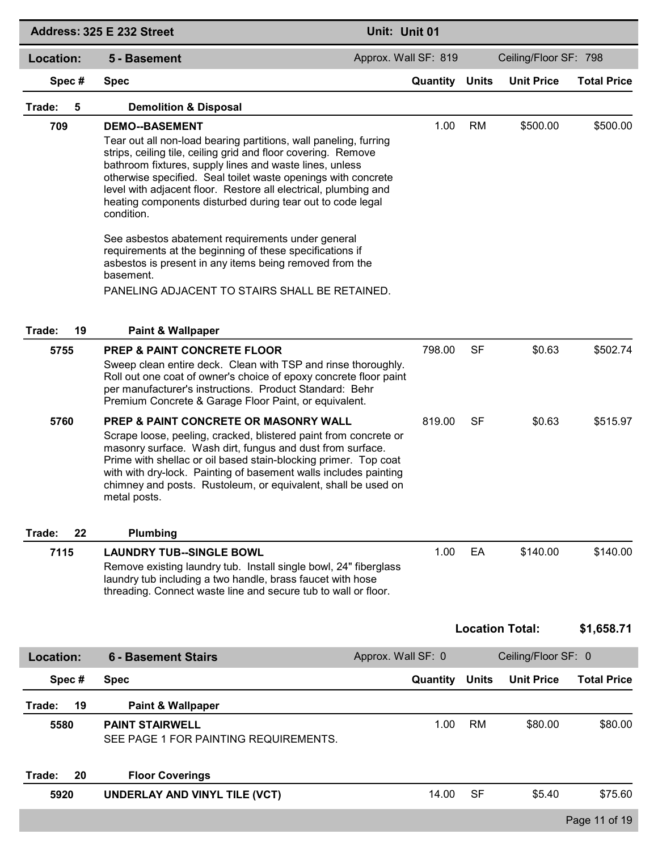|                  | Address: 325 E 232 Street                                                                                                                                                                                                                                                                                                                                                                                                             | Unit: Unit 01         |              |                        |                    |
|------------------|---------------------------------------------------------------------------------------------------------------------------------------------------------------------------------------------------------------------------------------------------------------------------------------------------------------------------------------------------------------------------------------------------------------------------------------|-----------------------|--------------|------------------------|--------------------|
| <b>Location:</b> | 5 - Basement                                                                                                                                                                                                                                                                                                                                                                                                                          | Approx. Wall SF: 819  |              | Ceiling/Floor SF: 798  |                    |
| Spec#            | <b>Spec</b>                                                                                                                                                                                                                                                                                                                                                                                                                           | <b>Quantity Units</b> |              | <b>Unit Price</b>      | <b>Total Price</b> |
| Trade:<br>5      | <b>Demolition &amp; Disposal</b>                                                                                                                                                                                                                                                                                                                                                                                                      |                       |              |                        |                    |
| 709              | <b>DEMO--BASEMENT</b><br>Tear out all non-load bearing partitions, wall paneling, furring<br>strips, ceiling tile, ceiling grid and floor covering. Remove<br>bathroom fixtures, supply lines and waste lines, unless<br>otherwise specified. Seal toilet waste openings with concrete<br>level with adjacent floor. Restore all electrical, plumbing and<br>heating components disturbed during tear out to code legal<br>condition. | 1.00                  | <b>RM</b>    | \$500.00               | \$500.00           |
|                  | See asbestos abatement requirements under general<br>requirements at the beginning of these specifications if<br>asbestos is present in any items being removed from the<br>basement.<br>PANELING ADJACENT TO STAIRS SHALL BE RETAINED.                                                                                                                                                                                               |                       |              |                        |                    |
| Trade:<br>19     | <b>Paint &amp; Wallpaper</b>                                                                                                                                                                                                                                                                                                                                                                                                          |                       |              |                        |                    |
| 5755             | <b>PREP &amp; PAINT CONCRETE FLOOR</b><br>Sweep clean entire deck. Clean with TSP and rinse thoroughly.<br>Roll out one coat of owner's choice of epoxy concrete floor paint<br>per manufacturer's instructions. Product Standard: Behr<br>Premium Concrete & Garage Floor Paint, or equivalent.                                                                                                                                      | 798.00                | SF           | \$0.63                 | \$502.74           |
| 5760             | PREP & PAINT CONCRETE OR MASONRY WALL<br>Scrape loose, peeling, cracked, blistered paint from concrete or<br>masonry surface. Wash dirt, fungus and dust from surface.<br>Prime with shellac or oil based stain-blocking primer. Top coat<br>with with dry-lock. Painting of basement walls includes painting<br>chimney and posts. Rustoleum, or equivalent, shall be used on<br>metal posts.                                        | 819.00                | SF           | \$0.63                 | \$515.97           |
| Trade:<br>22     | Plumbing                                                                                                                                                                                                                                                                                                                                                                                                                              |                       |              |                        |                    |
| 7115             | <b>LAUNDRY TUB--SINGLE BOWL</b><br>Remove existing laundry tub. Install single bowl, 24" fiberglass<br>laundry tub including a two handle, brass faucet with hose<br>threading. Connect waste line and secure tub to wall or floor.                                                                                                                                                                                                   | 1.00                  | EA           | \$140.00               | \$140.00           |
|                  |                                                                                                                                                                                                                                                                                                                                                                                                                                       |                       |              | <b>Location Total:</b> | \$1,658.71         |
| <b>Location:</b> | <b>6 - Basement Stairs</b>                                                                                                                                                                                                                                                                                                                                                                                                            | Approx. Wall SF: 0    |              | Ceiling/Floor SF: 0    |                    |
| Spec#            | <b>Spec</b>                                                                                                                                                                                                                                                                                                                                                                                                                           | Quantity              | <b>Units</b> | <b>Unit Price</b>      | <b>Total Price</b> |
| 19<br>Trade:     | <b>Paint &amp; Wallpaper</b>                                                                                                                                                                                                                                                                                                                                                                                                          |                       |              |                        |                    |
| 5580             | <b>PAINT STAIRWELL</b><br>SEE PAGE 1 FOR PAINTING REQUIREMENTS.                                                                                                                                                                                                                                                                                                                                                                       | 1.00                  | RM           | \$80.00                | \$80.00            |
| Trade:<br>20     | <b>Floor Coverings</b>                                                                                                                                                                                                                                                                                                                                                                                                                |                       |              |                        |                    |
| 5920             | UNDERLAY AND VINYL TILE (VCT)                                                                                                                                                                                                                                                                                                                                                                                                         | 14.00                 | <b>SF</b>    | \$5.40                 | \$75.60            |
|                  |                                                                                                                                                                                                                                                                                                                                                                                                                                       |                       |              |                        | Page 11 of 19      |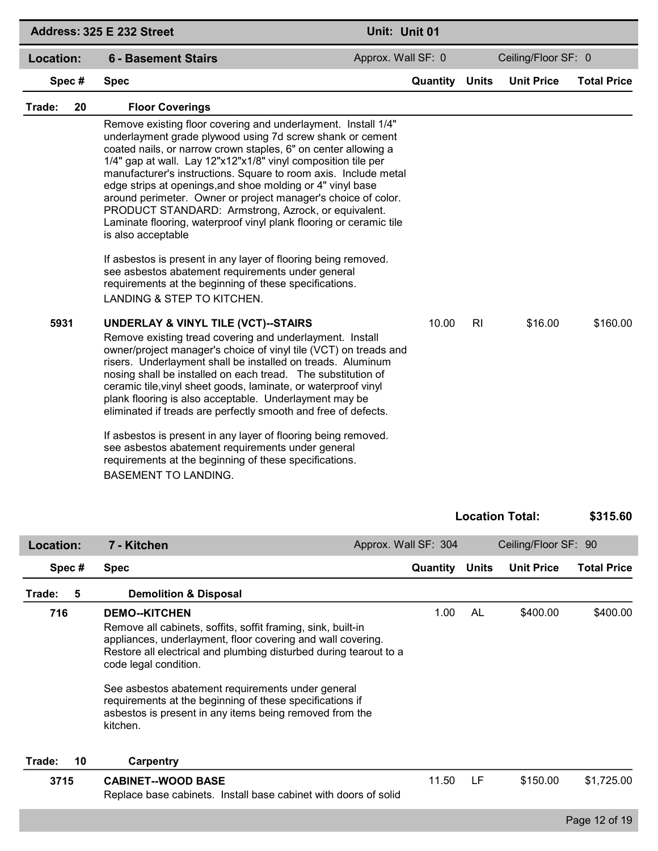|              | Address: 325 E 232 Street                                                                                                                                                                                                                                                                                                                                                                                                                                                                                                                                                                                                                                                                                                                                                                                                                                                                                                                                                                                                                                                                                                                                                                                                                                                                                                                                                                                                                                                                                                                                        | Unit: Unit 01         |              |                        |                    |
|--------------|------------------------------------------------------------------------------------------------------------------------------------------------------------------------------------------------------------------------------------------------------------------------------------------------------------------------------------------------------------------------------------------------------------------------------------------------------------------------------------------------------------------------------------------------------------------------------------------------------------------------------------------------------------------------------------------------------------------------------------------------------------------------------------------------------------------------------------------------------------------------------------------------------------------------------------------------------------------------------------------------------------------------------------------------------------------------------------------------------------------------------------------------------------------------------------------------------------------------------------------------------------------------------------------------------------------------------------------------------------------------------------------------------------------------------------------------------------------------------------------------------------------------------------------------------------------|-----------------------|--------------|------------------------|--------------------|
| Location:    | <b>6 - Basement Stairs</b>                                                                                                                                                                                                                                                                                                                                                                                                                                                                                                                                                                                                                                                                                                                                                                                                                                                                                                                                                                                                                                                                                                                                                                                                                                                                                                                                                                                                                                                                                                                                       | Approx. Wall SF: 0    |              | Ceiling/Floor SF: 0    |                    |
| Spec#        | <b>Spec</b>                                                                                                                                                                                                                                                                                                                                                                                                                                                                                                                                                                                                                                                                                                                                                                                                                                                                                                                                                                                                                                                                                                                                                                                                                                                                                                                                                                                                                                                                                                                                                      | <b>Quantity Units</b> |              | <b>Unit Price</b>      | <b>Total Price</b> |
| Trade:<br>20 | <b>Floor Coverings</b>                                                                                                                                                                                                                                                                                                                                                                                                                                                                                                                                                                                                                                                                                                                                                                                                                                                                                                                                                                                                                                                                                                                                                                                                                                                                                                                                                                                                                                                                                                                                           |                       |              |                        |                    |
| 5931         | Remove existing floor covering and underlayment. Install 1/4"<br>underlayment grade plywood using 7d screw shank or cement<br>coated nails, or narrow crown staples, 6" on center allowing a<br>1/4" gap at wall. Lay 12"x12"x1/8" vinyl composition tile per<br>manufacturer's instructions. Square to room axis. Include metal<br>edge strips at openings, and shoe molding or 4" vinyl base<br>around perimeter. Owner or project manager's choice of color.<br>PRODUCT STANDARD: Armstrong, Azrock, or equivalent.<br>Laminate flooring, waterproof vinyl plank flooring or ceramic tile<br>is also acceptable<br>If asbestos is present in any layer of flooring being removed.<br>see asbestos abatement requirements under general<br>requirements at the beginning of these specifications.<br>LANDING & STEP TO KITCHEN.<br><b>UNDERLAY &amp; VINYL TILE (VCT)--STAIRS</b><br>Remove existing tread covering and underlayment. Install<br>owner/project manager's choice of vinyl tile (VCT) on treads and<br>risers. Underlayment shall be installed on treads. Aluminum<br>nosing shall be installed on each tread. The substitution of<br>ceramic tile, vinyl sheet goods, laminate, or waterproof vinyl<br>plank flooring is also acceptable. Underlayment may be<br>eliminated if treads are perfectly smooth and free of defects.<br>If asbestos is present in any layer of flooring being removed.<br>see asbestos abatement requirements under general<br>requirements at the beginning of these specifications.<br><b>BASEMENT TO LANDING.</b> | 10.00                 | RI           | \$16.00                | \$160.00           |
|              |                                                                                                                                                                                                                                                                                                                                                                                                                                                                                                                                                                                                                                                                                                                                                                                                                                                                                                                                                                                                                                                                                                                                                                                                                                                                                                                                                                                                                                                                                                                                                                  |                       |              | <b>Location Total:</b> | \$315.60           |
| Location:    | 7 - Kitchen                                                                                                                                                                                                                                                                                                                                                                                                                                                                                                                                                                                                                                                                                                                                                                                                                                                                                                                                                                                                                                                                                                                                                                                                                                                                                                                                                                                                                                                                                                                                                      | Approx. Wall SF: 304  |              | Ceiling/Floor SF: 90   |                    |
| Spec#        | <b>Spec</b>                                                                                                                                                                                                                                                                                                                                                                                                                                                                                                                                                                                                                                                                                                                                                                                                                                                                                                                                                                                                                                                                                                                                                                                                                                                                                                                                                                                                                                                                                                                                                      | Quantity              | <b>Units</b> | <b>Unit Price</b>      | <b>Total Price</b> |
| 5<br>Trade:  | <b>Demolition &amp; Disposal</b>                                                                                                                                                                                                                                                                                                                                                                                                                                                                                                                                                                                                                                                                                                                                                                                                                                                                                                                                                                                                                                                                                                                                                                                                                                                                                                                                                                                                                                                                                                                                 |                       |              |                        |                    |
| 716          | <b>DEMO--KITCHEN</b><br>Remove all cabinets, soffits, soffit framing, sink, built-in<br>appliances, underlayment, floor covering and wall covering.<br>Restore all electrical and plumbing disturbed during tearout to a<br>code legal condition.<br>See asbestos abatement requirements under general<br>requirements at the beginning of these specifications if<br>asbestos is present in any items being removed from the<br>kitchen.                                                                                                                                                                                                                                                                                                                                                                                                                                                                                                                                                                                                                                                                                                                                                                                                                                                                                                                                                                                                                                                                                                                        | 1.00                  | AL           | \$400.00               | \$400.00           |
| Trade:<br>10 | <b>Carpentry</b>                                                                                                                                                                                                                                                                                                                                                                                                                                                                                                                                                                                                                                                                                                                                                                                                                                                                                                                                                                                                                                                                                                                                                                                                                                                                                                                                                                                                                                                                                                                                                 |                       |              |                        |                    |
| 3715         | <b>CABINET--WOOD BASE</b><br>Replace base cabinets. Install base cabinet with doors of solid                                                                                                                                                                                                                                                                                                                                                                                                                                                                                                                                                                                                                                                                                                                                                                                                                                                                                                                                                                                                                                                                                                                                                                                                                                                                                                                                                                                                                                                                     | 11.50                 | LF           | \$150.00               | \$1,725.00         |
|              |                                                                                                                                                                                                                                                                                                                                                                                                                                                                                                                                                                                                                                                                                                                                                                                                                                                                                                                                                                                                                                                                                                                                                                                                                                                                                                                                                                                                                                                                                                                                                                  |                       |              |                        | Page 12 of 19      |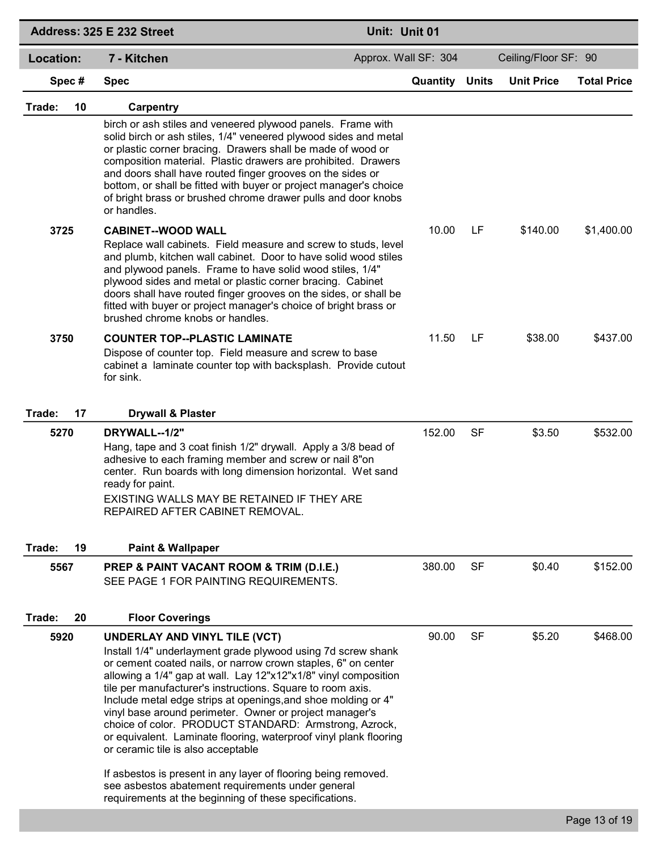|              | Address: 325 E 232 Street                                                                                                                                                                                                                                                                                                                                                                                                                                                                                                                                                                                                                                                                                                                                                        | Unit: Unit 01        |              |                      |                    |
|--------------|----------------------------------------------------------------------------------------------------------------------------------------------------------------------------------------------------------------------------------------------------------------------------------------------------------------------------------------------------------------------------------------------------------------------------------------------------------------------------------------------------------------------------------------------------------------------------------------------------------------------------------------------------------------------------------------------------------------------------------------------------------------------------------|----------------------|--------------|----------------------|--------------------|
| Location:    | 7 - Kitchen                                                                                                                                                                                                                                                                                                                                                                                                                                                                                                                                                                                                                                                                                                                                                                      | Approx. Wall SF: 304 |              | Ceiling/Floor SF: 90 |                    |
| Spec#        | <b>Spec</b>                                                                                                                                                                                                                                                                                                                                                                                                                                                                                                                                                                                                                                                                                                                                                                      | Quantity             | <b>Units</b> | <b>Unit Price</b>    | <b>Total Price</b> |
| 10<br>Trade: | <b>Carpentry</b>                                                                                                                                                                                                                                                                                                                                                                                                                                                                                                                                                                                                                                                                                                                                                                 |                      |              |                      |                    |
|              | birch or ash stiles and veneered plywood panels. Frame with<br>solid birch or ash stiles, 1/4" veneered plywood sides and metal<br>or plastic corner bracing. Drawers shall be made of wood or<br>composition material. Plastic drawers are prohibited. Drawers<br>and doors shall have routed finger grooves on the sides or<br>bottom, or shall be fitted with buyer or project manager's choice<br>of bright brass or brushed chrome drawer pulls and door knobs<br>or handles.                                                                                                                                                                                                                                                                                               |                      |              |                      |                    |
| 3725         | <b>CABINET--WOOD WALL</b>                                                                                                                                                                                                                                                                                                                                                                                                                                                                                                                                                                                                                                                                                                                                                        | 10.00                | LF           | \$140.00             | \$1,400.00         |
|              | Replace wall cabinets. Field measure and screw to studs, level<br>and plumb, kitchen wall cabinet. Door to have solid wood stiles<br>and plywood panels. Frame to have solid wood stiles, 1/4"<br>plywood sides and metal or plastic corner bracing. Cabinet<br>doors shall have routed finger grooves on the sides, or shall be<br>fitted with buyer or project manager's choice of bright brass or<br>brushed chrome knobs or handles.                                                                                                                                                                                                                                                                                                                                         |                      |              |                      |                    |
| 3750         | <b>COUNTER TOP--PLASTIC LAMINATE</b><br>Dispose of counter top. Field measure and screw to base<br>cabinet a laminate counter top with backsplash. Provide cutout<br>for sink.                                                                                                                                                                                                                                                                                                                                                                                                                                                                                                                                                                                                   | 11.50                | LF           | \$38.00              | \$437.00           |
| Trade:<br>17 | <b>Drywall &amp; Plaster</b>                                                                                                                                                                                                                                                                                                                                                                                                                                                                                                                                                                                                                                                                                                                                                     |                      |              |                      |                    |
| 5270         | DRYWALL--1/2"<br>Hang, tape and 3 coat finish 1/2" drywall. Apply a 3/8 bead of<br>adhesive to each framing member and screw or nail 8"on<br>center. Run boards with long dimension horizontal. Wet sand<br>ready for paint.<br>EXISTING WALLS MAY BE RETAINED IF THEY ARE<br>REPAIRED AFTER CABINET REMOVAL.                                                                                                                                                                                                                                                                                                                                                                                                                                                                    | 152.00               | <b>SF</b>    | \$3.50               | \$532.00           |
| 19<br>Trade: | <b>Paint &amp; Wallpaper</b>                                                                                                                                                                                                                                                                                                                                                                                                                                                                                                                                                                                                                                                                                                                                                     |                      |              |                      |                    |
| 5567         | PREP & PAINT VACANT ROOM & TRIM (D.I.E.)<br>SEE PAGE 1 FOR PAINTING REQUIREMENTS.                                                                                                                                                                                                                                                                                                                                                                                                                                                                                                                                                                                                                                                                                                | 380.00               | <b>SF</b>    | \$0.40               | \$152.00           |
| Trade:<br>20 | <b>Floor Coverings</b>                                                                                                                                                                                                                                                                                                                                                                                                                                                                                                                                                                                                                                                                                                                                                           |                      |              |                      |                    |
| 5920         | UNDERLAY AND VINYL TILE (VCT)<br>Install 1/4" underlayment grade plywood using 7d screw shank<br>or cement coated nails, or narrow crown staples, 6" on center<br>allowing a 1/4" gap at wall. Lay 12"x12"x1/8" vinyl composition<br>tile per manufacturer's instructions. Square to room axis.<br>Include metal edge strips at openings, and shoe molding or 4"<br>vinyl base around perimeter. Owner or project manager's<br>choice of color. PRODUCT STANDARD: Armstrong, Azrock,<br>or equivalent. Laminate flooring, waterproof vinyl plank flooring<br>or ceramic tile is also acceptable<br>If asbestos is present in any layer of flooring being removed.<br>see asbestos abatement requirements under general<br>requirements at the beginning of these specifications. | 90.00                | <b>SF</b>    | \$5.20               | \$468.00           |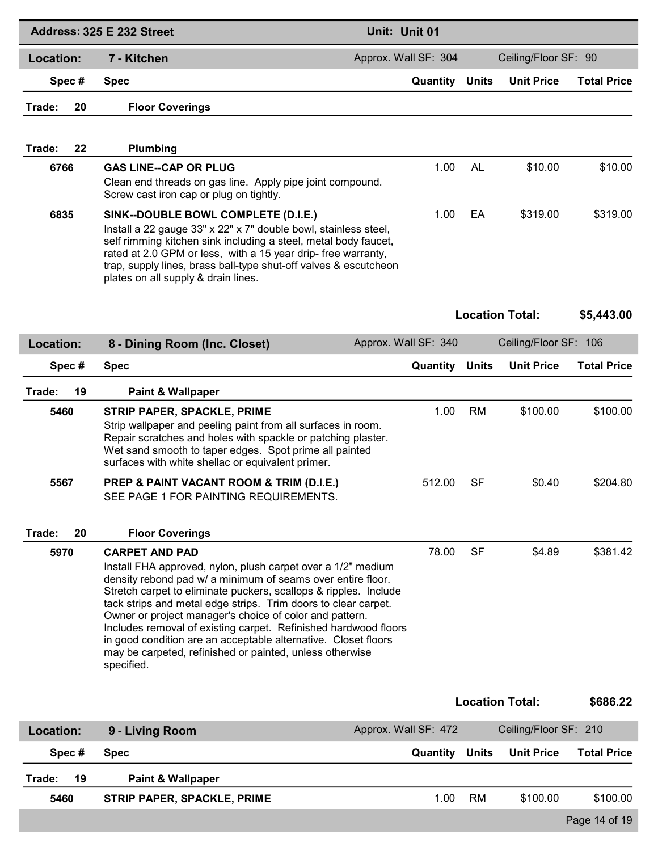|              | Address: 325 E 232 Street                                                                                                                                                                                                                                                                                                                                                                                                                                                                                                                                            | Unit: Unit 01        |              |                        |                    |
|--------------|----------------------------------------------------------------------------------------------------------------------------------------------------------------------------------------------------------------------------------------------------------------------------------------------------------------------------------------------------------------------------------------------------------------------------------------------------------------------------------------------------------------------------------------------------------------------|----------------------|--------------|------------------------|--------------------|
| Location:    | 7 - Kitchen                                                                                                                                                                                                                                                                                                                                                                                                                                                                                                                                                          | Approx. Wall SF: 304 |              | Ceiling/Floor SF: 90   |                    |
| Spec#        | <b>Spec</b>                                                                                                                                                                                                                                                                                                                                                                                                                                                                                                                                                          | Quantity             | <b>Units</b> | <b>Unit Price</b>      | <b>Total Price</b> |
| Trade:<br>20 | <b>Floor Coverings</b>                                                                                                                                                                                                                                                                                                                                                                                                                                                                                                                                               |                      |              |                        |                    |
| Trade:<br>22 | <b>Plumbing</b>                                                                                                                                                                                                                                                                                                                                                                                                                                                                                                                                                      |                      |              |                        |                    |
| 6766         | <b>GAS LINE--CAP OR PLUG</b><br>Clean end threads on gas line. Apply pipe joint compound.<br>Screw cast iron cap or plug on tightly.                                                                                                                                                                                                                                                                                                                                                                                                                                 | 1.00                 | AL           | \$10.00                | \$10.00            |
| 6835         | SINK--DOUBLE BOWL COMPLETE (D.I.E.)<br>Install a 22 gauge 33" x 22" x 7" double bowl, stainless steel,<br>self rimming kitchen sink including a steel, metal body faucet,<br>rated at 2.0 GPM or less, with a 15 year drip- free warranty,<br>trap, supply lines, brass ball-type shut-off valves & escutcheon<br>plates on all supply & drain lines.                                                                                                                                                                                                                | 1.00                 | EA           | \$319.00               | \$319.00           |
|              |                                                                                                                                                                                                                                                                                                                                                                                                                                                                                                                                                                      |                      |              | <b>Location Total:</b> | \$5,443.00         |
| Location:    | 8 - Dining Room (Inc. Closet)                                                                                                                                                                                                                                                                                                                                                                                                                                                                                                                                        | Approx. Wall SF: 340 |              | Ceiling/Floor SF: 106  |                    |
| Spec#        | <b>Spec</b>                                                                                                                                                                                                                                                                                                                                                                                                                                                                                                                                                          | Quantity             | <b>Units</b> | <b>Unit Price</b>      | <b>Total Price</b> |
| 19<br>Trade: | Paint & Wallpaper                                                                                                                                                                                                                                                                                                                                                                                                                                                                                                                                                    |                      |              |                        |                    |
| 5460         | <b>STRIP PAPER, SPACKLE, PRIME</b><br>Strip wallpaper and peeling paint from all surfaces in room.<br>Repair scratches and holes with spackle or patching plaster.<br>Wet sand smooth to taper edges. Spot prime all painted<br>surfaces with white shellac or equivalent primer.                                                                                                                                                                                                                                                                                    | 1.00                 | <b>RM</b>    | \$100.00               | \$100.00           |
| 5567         | PREP & PAINT VACANT ROOM & TRIM (D.I.E.)<br>SEE PAGE 1 FOR PAINTING REQUIREMENTS.                                                                                                                                                                                                                                                                                                                                                                                                                                                                                    | 512.00               | <b>SF</b>    | \$0.40                 | \$204.80           |
| Trade:<br>20 | <b>Floor Coverings</b>                                                                                                                                                                                                                                                                                                                                                                                                                                                                                                                                               |                      |              |                        |                    |
| 5970         | <b>CARPET AND PAD</b><br>Install FHA approved, nylon, plush carpet over a 1/2" medium<br>density rebond pad w/ a minimum of seams over entire floor.<br>Stretch carpet to eliminate puckers, scallops & ripples. Include<br>tack strips and metal edge strips. Trim doors to clear carpet.<br>Owner or project manager's choice of color and pattern.<br>Includes removal of existing carpet. Refinished hardwood floors<br>in good condition are an acceptable alternative. Closet floors<br>may be carpeted, refinished or painted, unless otherwise<br>specified. | 78.00                | <b>SF</b>    | \$4.89                 | \$381.42           |
|              |                                                                                                                                                                                                                                                                                                                                                                                                                                                                                                                                                                      |                      |              | <b>Location Total:</b> | \$686.22           |
| Location:    | 9 - Living Room                                                                                                                                                                                                                                                                                                                                                                                                                                                                                                                                                      | Approx. Wall SF: 472 |              | Ceiling/Floor SF: 210  |                    |
| Spec#        | <b>Spec</b>                                                                                                                                                                                                                                                                                                                                                                                                                                                                                                                                                          | Quantity             | <b>Units</b> | <b>Unit Price</b>      | <b>Total Price</b> |
| 19<br>Trade: | Paint & Wallpaper                                                                                                                                                                                                                                                                                                                                                                                                                                                                                                                                                    |                      |              |                        |                    |
| 5460         | <b>STRIP PAPER, SPACKLE, PRIME</b>                                                                                                                                                                                                                                                                                                                                                                                                                                                                                                                                   | 1.00                 | <b>RM</b>    | \$100.00               | \$100.00           |

Page 14 of 19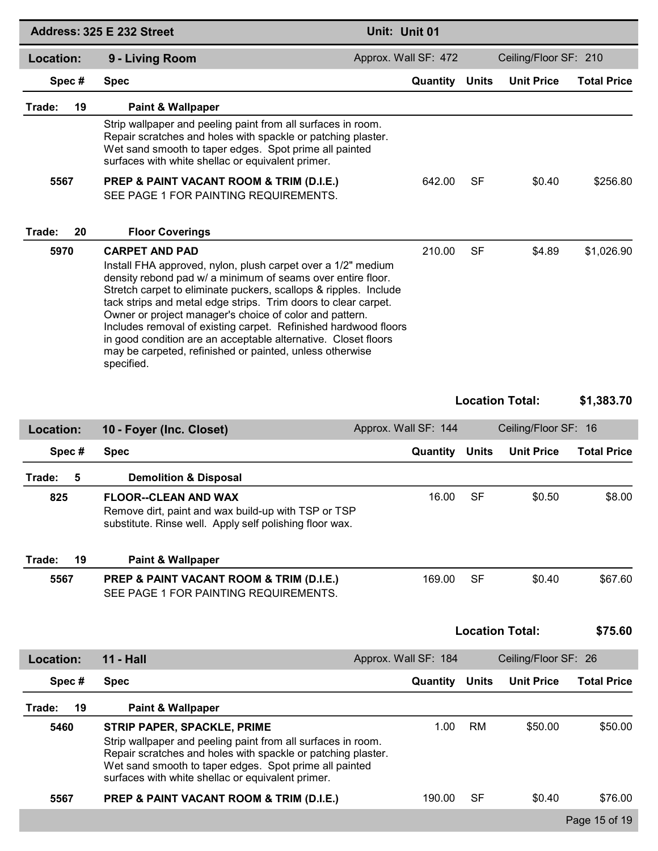|                  | Address: 325 E 232 Street                                                                                                                                                                                                                                                                                                                                                                                                                                                                                                                                            | Unit: Unit 01         |           |                        |                    |
|------------------|----------------------------------------------------------------------------------------------------------------------------------------------------------------------------------------------------------------------------------------------------------------------------------------------------------------------------------------------------------------------------------------------------------------------------------------------------------------------------------------------------------------------------------------------------------------------|-----------------------|-----------|------------------------|--------------------|
| Location:        | 9 - Living Room                                                                                                                                                                                                                                                                                                                                                                                                                                                                                                                                                      | Approx. Wall SF: 472  |           | Ceiling/Floor SF: 210  |                    |
| Spec#            | <b>Spec</b>                                                                                                                                                                                                                                                                                                                                                                                                                                                                                                                                                          | <b>Quantity Units</b> |           | <b>Unit Price</b>      | <b>Total Price</b> |
| Trade:<br>19     | <b>Paint &amp; Wallpaper</b>                                                                                                                                                                                                                                                                                                                                                                                                                                                                                                                                         |                       |           |                        |                    |
|                  | Strip wallpaper and peeling paint from all surfaces in room.<br>Repair scratches and holes with spackle or patching plaster.<br>Wet sand smooth to taper edges. Spot prime all painted<br>surfaces with white shellac or equivalent primer.                                                                                                                                                                                                                                                                                                                          |                       |           |                        |                    |
| 5567             | PREP & PAINT VACANT ROOM & TRIM (D.I.E.)<br>SEE PAGE 1 FOR PAINTING REQUIREMENTS.                                                                                                                                                                                                                                                                                                                                                                                                                                                                                    | 642.00                | <b>SF</b> | \$0.40                 | \$256.80           |
| Trade:<br>20     | <b>Floor Coverings</b>                                                                                                                                                                                                                                                                                                                                                                                                                                                                                                                                               |                       |           |                        |                    |
| 5970             | <b>CARPET AND PAD</b><br>Install FHA approved, nylon, plush carpet over a 1/2" medium<br>density rebond pad w/ a minimum of seams over entire floor.<br>Stretch carpet to eliminate puckers, scallops & ripples. Include<br>tack strips and metal edge strips. Trim doors to clear carpet.<br>Owner or project manager's choice of color and pattern.<br>Includes removal of existing carpet. Refinished hardwood floors<br>in good condition are an acceptable alternative. Closet floors<br>may be carpeted, refinished or painted, unless otherwise<br>specified. | 210.00                | <b>SF</b> | \$4.89                 | \$1,026.90         |
|                  |                                                                                                                                                                                                                                                                                                                                                                                                                                                                                                                                                                      |                       |           | <b>Location Total:</b> | \$1,383.70         |
| <b>Location:</b> | 10 - Foyer (Inc. Closet)                                                                                                                                                                                                                                                                                                                                                                                                                                                                                                                                             | Approx. Wall SF: 144  |           | Ceiling/Floor SF: 16   |                    |
| Spec#            |                                                                                                                                                                                                                                                                                                                                                                                                                                                                                                                                                                      |                       |           |                        |                    |
|                  | <b>Spec</b>                                                                                                                                                                                                                                                                                                                                                                                                                                                                                                                                                          | <b>Quantity Units</b> |           | <b>Unit Price</b>      | <b>Total Price</b> |
| Trade:<br>5      | <b>Demolition &amp; Disposal</b>                                                                                                                                                                                                                                                                                                                                                                                                                                                                                                                                     |                       |           |                        |                    |
| 825              | <b>FLOOR--CLEAN AND WAX</b><br>Remove dirt, paint and wax build-up with TSP or TSP<br>substitute. Rinse well. Apply self polishing floor wax.                                                                                                                                                                                                                                                                                                                                                                                                                        | 16.00                 | SF        | \$0.50                 | \$8.00             |
| Trade:<br>19     | <b>Paint &amp; Wallpaper</b>                                                                                                                                                                                                                                                                                                                                                                                                                                                                                                                                         |                       |           |                        |                    |
| 5567             | PREP & PAINT VACANT ROOM & TRIM (D.I.E.)<br>SEE PAGE 1 FOR PAINTING REQUIREMENTS.                                                                                                                                                                                                                                                                                                                                                                                                                                                                                    | 169.00                | <b>SF</b> | \$0.40                 | \$67.60            |
|                  |                                                                                                                                                                                                                                                                                                                                                                                                                                                                                                                                                                      |                       |           | <b>Location Total:</b> | \$75.60            |
| <b>Location:</b> | <b>11 - Hall</b>                                                                                                                                                                                                                                                                                                                                                                                                                                                                                                                                                     | Approx. Wall SF: 184  |           | Ceiling/Floor SF: 26   |                    |
| Spec#            | <b>Spec</b>                                                                                                                                                                                                                                                                                                                                                                                                                                                                                                                                                          | <b>Quantity Units</b> |           | <b>Unit Price</b>      | <b>Total Price</b> |
| 19<br>Trade:     | <b>Paint &amp; Wallpaper</b>                                                                                                                                                                                                                                                                                                                                                                                                                                                                                                                                         |                       |           |                        |                    |
| 5460             | <b>STRIP PAPER, SPACKLE, PRIME</b><br>Strip wallpaper and peeling paint from all surfaces in room.<br>Repair scratches and holes with spackle or patching plaster.<br>Wet sand smooth to taper edges. Spot prime all painted<br>surfaces with white shellac or equivalent primer.                                                                                                                                                                                                                                                                                    | 1.00                  | <b>RM</b> | \$50.00                | \$50.00            |
| 5567             | PREP & PAINT VACANT ROOM & TRIM (D.I.E.)                                                                                                                                                                                                                                                                                                                                                                                                                                                                                                                             | 190.00                | <b>SF</b> | \$0.40                 | \$76.00            |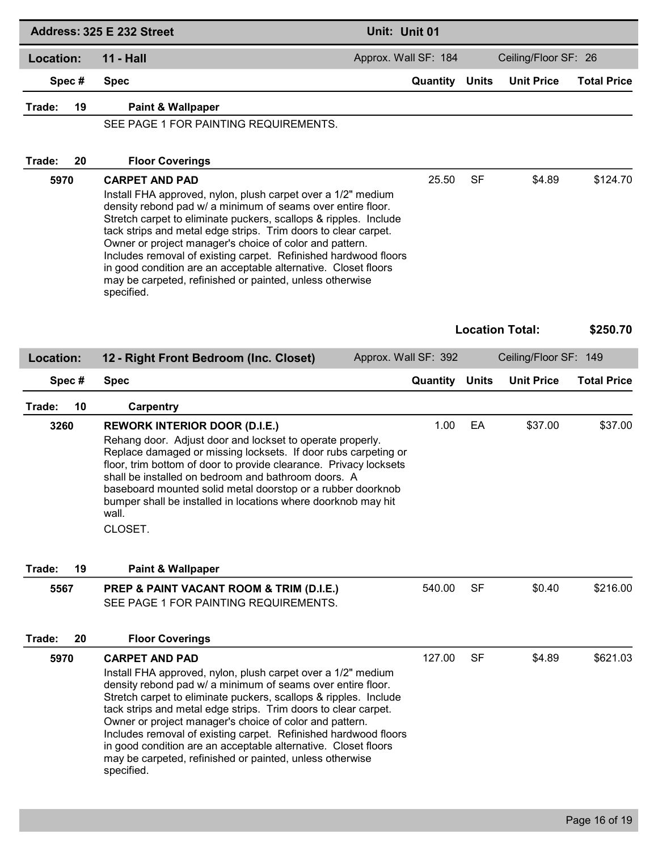|                      | Address: 325 E 232 Street                                                                                                                                                                                                                                                                                                                                                                                                                                                                                                                                            | Unit: Unit 01         |           |                        |                    |
|----------------------|----------------------------------------------------------------------------------------------------------------------------------------------------------------------------------------------------------------------------------------------------------------------------------------------------------------------------------------------------------------------------------------------------------------------------------------------------------------------------------------------------------------------------------------------------------------------|-----------------------|-----------|------------------------|--------------------|
| Location:            | <b>11 - Hall</b>                                                                                                                                                                                                                                                                                                                                                                                                                                                                                                                                                     | Approx. Wall SF: 184  |           | Ceiling/Floor SF: 26   |                    |
| Spec#                | <b>Spec</b>                                                                                                                                                                                                                                                                                                                                                                                                                                                                                                                                                          | <b>Quantity Units</b> |           | <b>Unit Price</b>      | <b>Total Price</b> |
| Trade:<br>19         | <b>Paint &amp; Wallpaper</b>                                                                                                                                                                                                                                                                                                                                                                                                                                                                                                                                         |                       |           |                        |                    |
|                      | SEE PAGE 1 FOR PAINTING REQUIREMENTS.                                                                                                                                                                                                                                                                                                                                                                                                                                                                                                                                |                       |           |                        |                    |
|                      |                                                                                                                                                                                                                                                                                                                                                                                                                                                                                                                                                                      |                       |           |                        |                    |
| Trade:<br>20<br>5970 | <b>Floor Coverings</b><br><b>CARPET AND PAD</b>                                                                                                                                                                                                                                                                                                                                                                                                                                                                                                                      | 25.50                 | SF        | \$4.89                 | \$124.70           |
|                      | Install FHA approved, nylon, plush carpet over a 1/2" medium<br>density rebond pad w/ a minimum of seams over entire floor.<br>Stretch carpet to eliminate puckers, scallops & ripples. Include<br>tack strips and metal edge strips. Trim doors to clear carpet.<br>Owner or project manager's choice of color and pattern.<br>Includes removal of existing carpet. Refinished hardwood floors<br>in good condition are an acceptable alternative. Closet floors<br>may be carpeted, refinished or painted, unless otherwise<br>specified.                          |                       |           |                        |                    |
|                      |                                                                                                                                                                                                                                                                                                                                                                                                                                                                                                                                                                      |                       |           | <b>Location Total:</b> | \$250.70           |
| Location:            | 12 - Right Front Bedroom (Inc. Closet)                                                                                                                                                                                                                                                                                                                                                                                                                                                                                                                               | Approx. Wall SF: 392  |           | Ceiling/Floor SF: 149  |                    |
| Spec#                | <b>Spec</b>                                                                                                                                                                                                                                                                                                                                                                                                                                                                                                                                                          | <b>Quantity Units</b> |           | <b>Unit Price</b>      | <b>Total Price</b> |
| Trade:<br>10         | Carpentry                                                                                                                                                                                                                                                                                                                                                                                                                                                                                                                                                            |                       |           |                        |                    |
| 3260                 | <b>REWORK INTERIOR DOOR (D.I.E.)</b><br>Rehang door. Adjust door and lockset to operate properly.<br>Replace damaged or missing locksets. If door rubs carpeting or<br>floor, trim bottom of door to provide clearance. Privacy locksets<br>shall be installed on bedroom and bathroom doors. A<br>baseboard mounted solid metal doorstop or a rubber doorknob<br>bumper shall be installed in locations where doorknob may hit<br>wall.<br>CLOSET.                                                                                                                  | 1.00                  | EA        | \$37.00                | \$37.00            |
|                      |                                                                                                                                                                                                                                                                                                                                                                                                                                                                                                                                                                      |                       |           |                        |                    |
| Trade:<br>19<br>5567 | <b>Paint &amp; Wallpaper</b><br>PREP & PAINT VACANT ROOM & TRIM (D.I.E.)<br>SEE PAGE 1 FOR PAINTING REQUIREMENTS.                                                                                                                                                                                                                                                                                                                                                                                                                                                    | 540.00                | <b>SF</b> | \$0.40                 | \$216.00           |
| Trade:<br>20         | <b>Floor Coverings</b>                                                                                                                                                                                                                                                                                                                                                                                                                                                                                                                                               |                       |           |                        |                    |
| 5970                 | <b>CARPET AND PAD</b><br>Install FHA approved, nylon, plush carpet over a 1/2" medium<br>density rebond pad w/ a minimum of seams over entire floor.<br>Stretch carpet to eliminate puckers, scallops & ripples. Include<br>tack strips and metal edge strips. Trim doors to clear carpet.<br>Owner or project manager's choice of color and pattern.<br>Includes removal of existing carpet. Refinished hardwood floors<br>in good condition are an acceptable alternative. Closet floors<br>may be carpeted, refinished or painted, unless otherwise<br>specified. | 127.00                | <b>SF</b> | \$4.89                 | \$621.03           |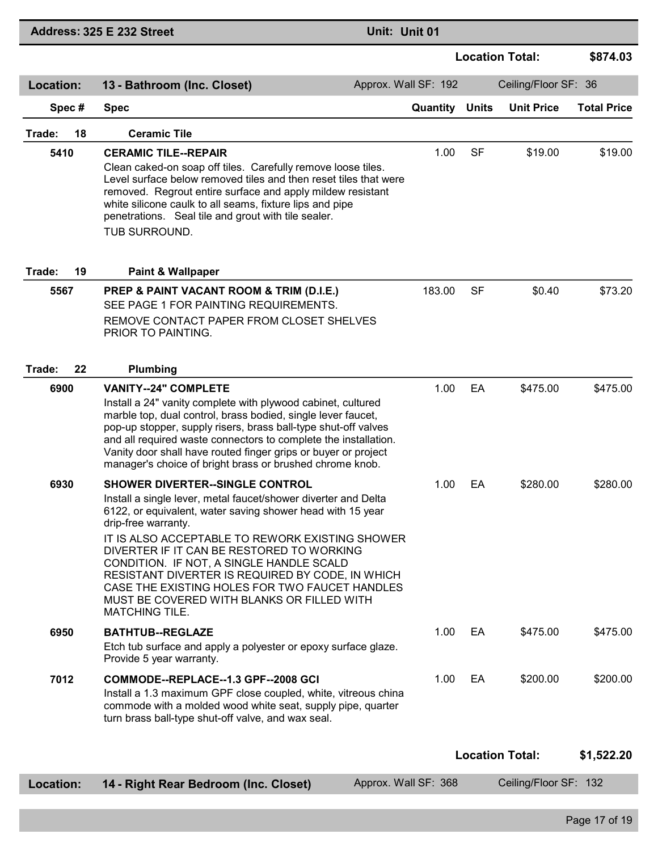|              | Address: 325 E 232 Street                                                                                                                                                                                                                                                                                                                                                                                                                                                                                       | Unit: Unit 01        |              |                        |                    |
|--------------|-----------------------------------------------------------------------------------------------------------------------------------------------------------------------------------------------------------------------------------------------------------------------------------------------------------------------------------------------------------------------------------------------------------------------------------------------------------------------------------------------------------------|----------------------|--------------|------------------------|--------------------|
|              |                                                                                                                                                                                                                                                                                                                                                                                                                                                                                                                 |                      |              | <b>Location Total:</b> | \$874.03           |
| Location:    | 13 - Bathroom (Inc. Closet)                                                                                                                                                                                                                                                                                                                                                                                                                                                                                     | Approx. Wall SF: 192 |              | Ceiling/Floor SF: 36   |                    |
| Spec#        | <b>Spec</b>                                                                                                                                                                                                                                                                                                                                                                                                                                                                                                     | Quantity             | <b>Units</b> | <b>Unit Price</b>      | <b>Total Price</b> |
| 18<br>Trade: | <b>Ceramic Tile</b>                                                                                                                                                                                                                                                                                                                                                                                                                                                                                             |                      |              |                        |                    |
| 5410         | <b>CERAMIC TILE--REPAIR</b><br>Clean caked-on soap off tiles. Carefully remove loose tiles.<br>Level surface below removed tiles and then reset tiles that were<br>removed. Regrout entire surface and apply mildew resistant<br>white silicone caulk to all seams, fixture lips and pipe<br>penetrations. Seal tile and grout with tile sealer.<br>TUB SURROUND.                                                                                                                                               | 1.00                 | <b>SF</b>    | \$19.00                | \$19.00            |
| Trade:<br>19 | <b>Paint &amp; Wallpaper</b>                                                                                                                                                                                                                                                                                                                                                                                                                                                                                    |                      |              |                        |                    |
| 5567         | PREP & PAINT VACANT ROOM & TRIM (D.I.E.)<br>SEE PAGE 1 FOR PAINTING REQUIREMENTS.<br>REMOVE CONTACT PAPER FROM CLOSET SHELVES<br>PRIOR TO PAINTING.                                                                                                                                                                                                                                                                                                                                                             | 183.00               | <b>SF</b>    | \$0.40                 | \$73.20            |
| 22<br>Trade: | Plumbing                                                                                                                                                                                                                                                                                                                                                                                                                                                                                                        |                      |              |                        |                    |
| 6900         | <b>VANITY--24" COMPLETE</b><br>Install a 24" vanity complete with plywood cabinet, cultured<br>marble top, dual control, brass bodied, single lever faucet,<br>pop-up stopper, supply risers, brass ball-type shut-off valves<br>and all required waste connectors to complete the installation.<br>Vanity door shall have routed finger grips or buyer or project<br>manager's choice of bright brass or brushed chrome knob.                                                                                  | 1.00                 | EA           | \$475.00               | \$475.00           |
| 6930         | <b>SHOWER DIVERTER--SINGLE CONTROL</b><br>Install a single lever, metal faucet/shower diverter and Delta<br>6122, or equivalent, water saving shower head with 15 year<br>drip-free warranty.<br>IT IS ALSO ACCEPTABLE TO REWORK EXISTING SHOWER<br>DIVERTER IF IT CAN BE RESTORED TO WORKING<br>CONDITION. IF NOT, A SINGLE HANDLE SCALD<br>RESISTANT DIVERTER IS REQUIRED BY CODE, IN WHICH<br>CASE THE EXISTING HOLES FOR TWO FAUCET HANDLES<br>MUST BE COVERED WITH BLANKS OR FILLED WITH<br>MATCHING TILE. | 1.00                 | EA           | \$280.00               | \$280.00           |
| 6950         | <b>BATHTUB--REGLAZE</b><br>Etch tub surface and apply a polyester or epoxy surface glaze.<br>Provide 5 year warranty.                                                                                                                                                                                                                                                                                                                                                                                           | 1.00                 | EA           | \$475.00               | \$475.00           |
| 7012         | COMMODE--REPLACE--1.3 GPF--2008 GCI<br>Install a 1.3 maximum GPF close coupled, white, vitreous china<br>commode with a molded wood white seat, supply pipe, quarter<br>turn brass ball-type shut-off valve, and wax seal.                                                                                                                                                                                                                                                                                      | 1.00                 | EA           | \$200.00               | \$200.00           |
|              |                                                                                                                                                                                                                                                                                                                                                                                                                                                                                                                 |                      |              | <b>Location Total:</b> | \$1,522.20         |
| Location:    | 14 - Right Rear Bedroom (Inc. Closet)                                                                                                                                                                                                                                                                                                                                                                                                                                                                           | Approx. Wall SF: 368 |              | Ceiling/Floor SF: 132  |                    |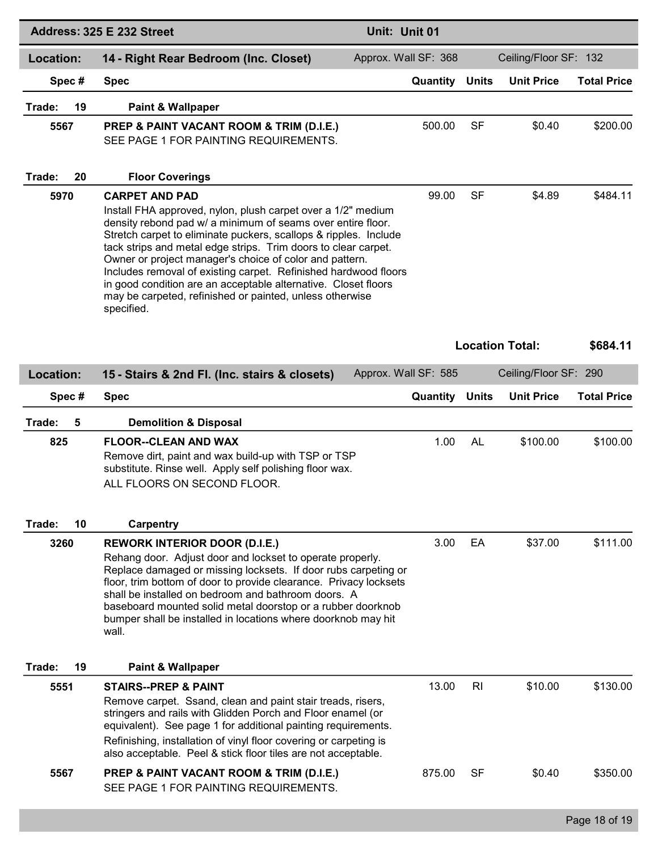|                  | Address: 325 E 232 Street                                                                                                                                                                                                                                                                                                                                                                                                                                                                                                                                            | Unit: Unit 01        |                |                        |                    |
|------------------|----------------------------------------------------------------------------------------------------------------------------------------------------------------------------------------------------------------------------------------------------------------------------------------------------------------------------------------------------------------------------------------------------------------------------------------------------------------------------------------------------------------------------------------------------------------------|----------------------|----------------|------------------------|--------------------|
| <b>Location:</b> | 14 - Right Rear Bedroom (Inc. Closet)                                                                                                                                                                                                                                                                                                                                                                                                                                                                                                                                | Approx. Wall SF: 368 |                | Ceiling/Floor SF: 132  |                    |
| Spec#            | <b>Spec</b>                                                                                                                                                                                                                                                                                                                                                                                                                                                                                                                                                          | Quantity             | <b>Units</b>   | <b>Unit Price</b>      | <b>Total Price</b> |
| Trade:<br>19     | <b>Paint &amp; Wallpaper</b>                                                                                                                                                                                                                                                                                                                                                                                                                                                                                                                                         |                      |                |                        |                    |
| 5567             | PREP & PAINT VACANT ROOM & TRIM (D.I.E.)<br>SEE PAGE 1 FOR PAINTING REQUIREMENTS.                                                                                                                                                                                                                                                                                                                                                                                                                                                                                    | 500.00               | <b>SF</b>      | \$0.40                 | \$200.00           |
| 20<br>Trade:     | <b>Floor Coverings</b>                                                                                                                                                                                                                                                                                                                                                                                                                                                                                                                                               |                      |                |                        |                    |
| 5970             | <b>CARPET AND PAD</b><br>Install FHA approved, nylon, plush carpet over a 1/2" medium<br>density rebond pad w/ a minimum of seams over entire floor.<br>Stretch carpet to eliminate puckers, scallops & ripples. Include<br>tack strips and metal edge strips. Trim doors to clear carpet.<br>Owner or project manager's choice of color and pattern.<br>Includes removal of existing carpet. Refinished hardwood floors<br>in good condition are an acceptable alternative. Closet floors<br>may be carpeted, refinished or painted, unless otherwise<br>specified. | 99.00                | <b>SF</b>      | \$4.89                 | \$484.11           |
|                  |                                                                                                                                                                                                                                                                                                                                                                                                                                                                                                                                                                      |                      |                | <b>Location Total:</b> | \$684.11           |
| Location:        | 15 - Stairs & 2nd Fl. (Inc. stairs & closets)                                                                                                                                                                                                                                                                                                                                                                                                                                                                                                                        | Approx. Wall SF: 585 |                | Ceiling/Floor SF: 290  |                    |
| Spec#            | <b>Spec</b>                                                                                                                                                                                                                                                                                                                                                                                                                                                                                                                                                          | Quantity             | <b>Units</b>   | <b>Unit Price</b>      | <b>Total Price</b> |
| Trade:<br>5      | <b>Demolition &amp; Disposal</b>                                                                                                                                                                                                                                                                                                                                                                                                                                                                                                                                     |                      |                |                        |                    |
| 825              | <b>FLOOR--CLEAN AND WAX</b><br>Remove dirt, paint and wax build-up with TSP or TSP<br>substitute. Rinse well. Apply self polishing floor wax.<br>ALL FLOORS ON SECOND FLOOR.                                                                                                                                                                                                                                                                                                                                                                                         | 1.00                 | <b>AL</b>      | \$100.00               | \$100.00           |
| 10<br>Trade:     | <b>Carpentry</b>                                                                                                                                                                                                                                                                                                                                                                                                                                                                                                                                                     |                      |                |                        |                    |
| 3260             | <b>REWORK INTERIOR DOOR (D.I.E.)</b><br>Rehang door. Adjust door and lockset to operate properly.<br>Replace damaged or missing locksets. If door rubs carpeting or<br>floor, trim bottom of door to provide clearance. Privacy locksets<br>shall be installed on bedroom and bathroom doors. A<br>baseboard mounted solid metal doorstop or a rubber doorknob<br>bumper shall be installed in locations where doorknob may hit<br>wall.                                                                                                                             | 3.00                 | EA             | \$37.00                | \$111.00           |
| 19<br>Trade:     | <b>Paint &amp; Wallpaper</b>                                                                                                                                                                                                                                                                                                                                                                                                                                                                                                                                         |                      |                |                        |                    |
| 5551             | <b>STAIRS--PREP &amp; PAINT</b><br>Remove carpet. Ssand, clean and paint stair treads, risers,<br>stringers and rails with Glidden Porch and Floor enamel (or<br>equivalent). See page 1 for additional painting requirements.<br>Refinishing, installation of vinyl floor covering or carpeting is<br>also acceptable. Peel & stick floor tiles are not acceptable.                                                                                                                                                                                                 | 13.00                | R <sub>l</sub> | \$10.00                | \$130.00           |
| 5567             | PREP & PAINT VACANT ROOM & TRIM (D.I.E.)<br>SEE PAGE 1 FOR PAINTING REQUIREMENTS.                                                                                                                                                                                                                                                                                                                                                                                                                                                                                    | 875.00               | <b>SF</b>      | \$0.40                 | \$350.00           |